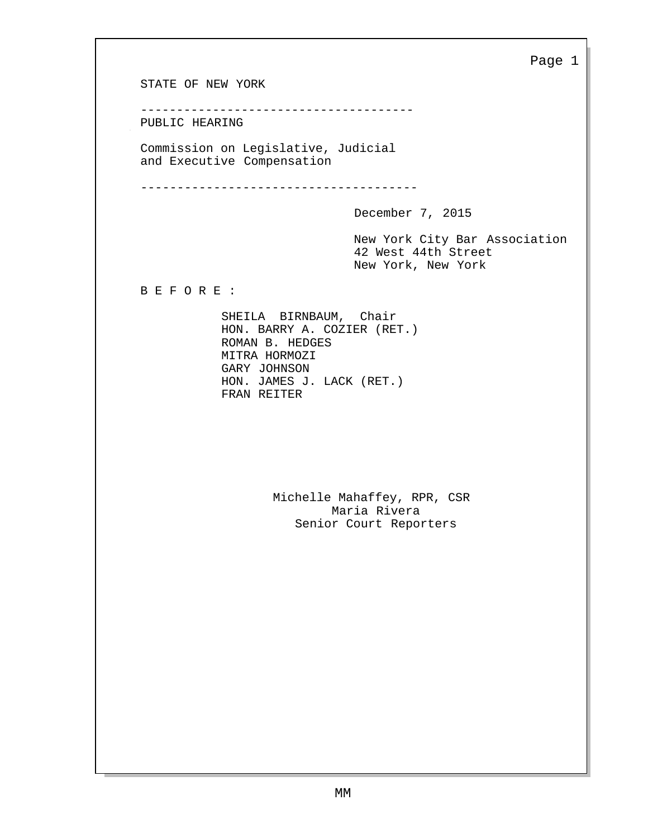STATE OF NEW YORK -------------------------------------- PUBLIC HEARING Commission on Legislative, Judicial and Executive Compensation -------------------------------------- December 7, 2015 Page 1 New York City Bar Association 42 West 44th Street New York, New York B E F O R E : SHEILA BIRNBAUM, Chair HON. BARRY A. COZIER (RET.) ROMAN B. HEDGES MITRA HORMOZI GARY JOHNSON HON. JAMES J. LACK (RET.) FRAN REITER Michelle Mahaffey, RPR, CSR Maria Rivera Senior Court Reporters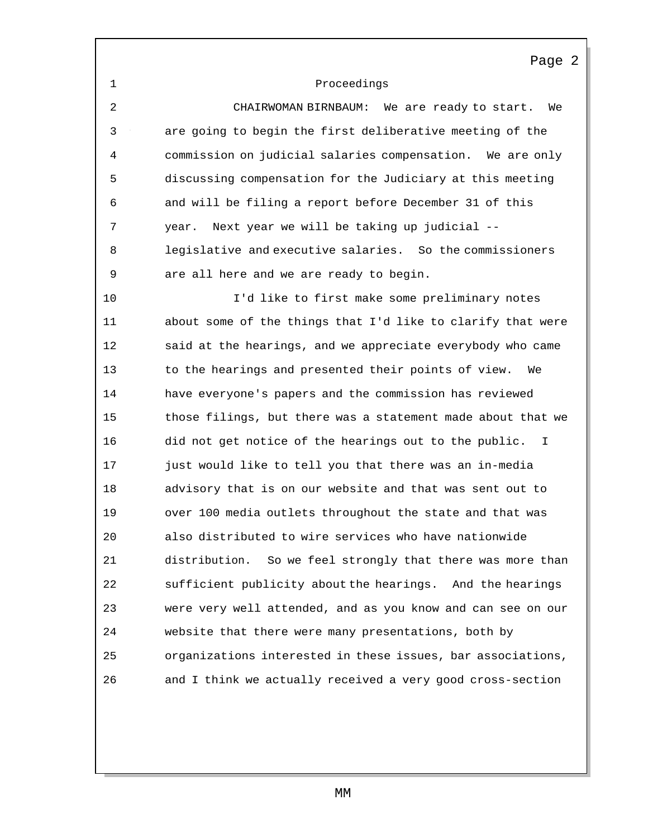### Proceedings

 CHAIRWOMAN BIRNBAUM: We are ready to start. We are going to begin the first deliberative meeting of the commission on judicial salaries compensation. We are only discussing compensation for the Judiciary at this meeting and will be filing a report before December 31 of this year. Next year we will be taking up judicial -- legislative and executive salaries. So the commissioners are all here and we are ready to begin.

 I'd like to first make some preliminary notes about some of the things that I'd like to clarify that were said at the hearings, and we appreciate everybody who came to the hearings and presented their points of view. We have everyone's papers and the commission has reviewed those filings, but there was a statement made about that we did not get notice of the hearings out to the public. I just would like to tell you that there was an in-media advisory that is on our website and that was sent out to over 100 media outlets throughout the state and that was also distributed to wire services who have nationwide distribution. So we feel strongly that there was more than sufficient publicity about the hearings. And the hearings were very well attended, and as you know and can see on our website that there were many presentations, both by organizations interested in these issues, bar associations, and I think we actually received a very good cross-section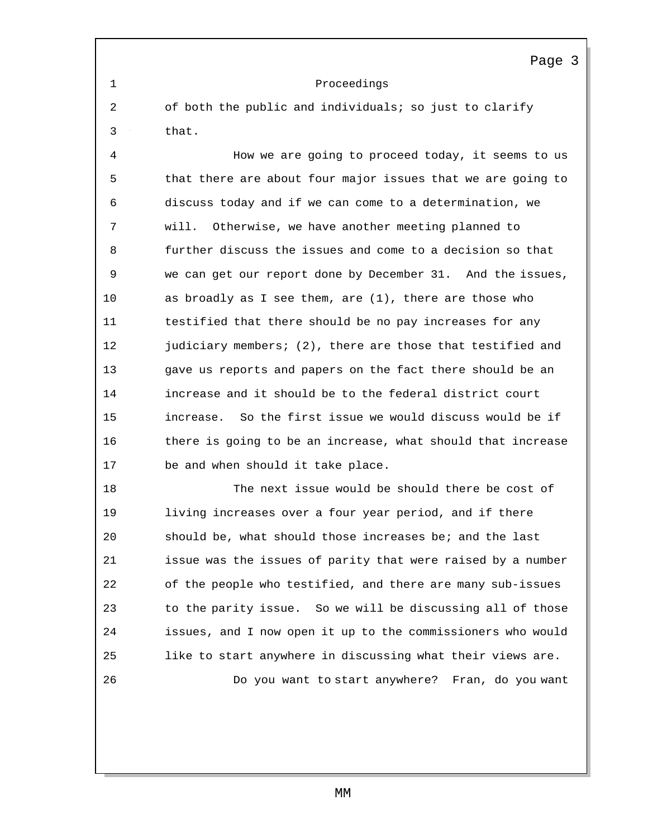Proceedings

 of both the public and individuals; so just to clarify that.

 How we are going to proceed today, it seems to us that there are about four major issues that we are going to discuss today and if we can come to a determination, we will. Otherwise, we have another meeting planned to further discuss the issues and come to a decision so that we can get our report done by December 31. And the issues, as broadly as I see them, are (1), there are those who testified that there should be no pay increases for any 12 judiciary members; (2), there are those that testified and gave us reports and papers on the fact there should be an increase and it should be to the federal district court increase. So the first issue we would discuss would be if there is going to be an increase, what should that increase be and when should it take place.

 The next issue would be should there be cost of living increases over a four year period, and if there should be, what should those increases be; and the last issue was the issues of parity that were raised by a number of the people who testified, and there are many sub-issues to the parity issue. So we will be discussing all of those issues, and I now open it up to the commissioners who would like to start anywhere in discussing what their views are. Do you want to start anywhere? Fran, do you want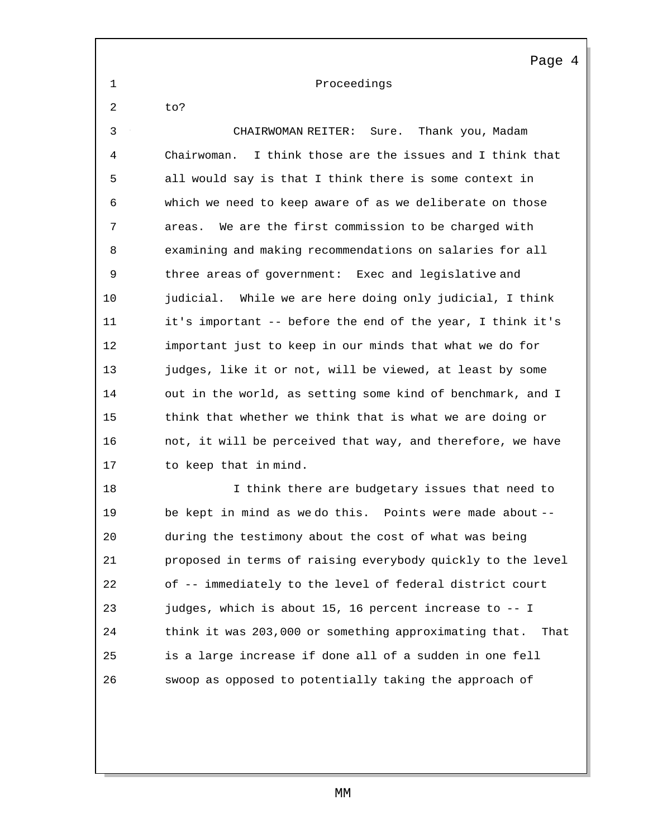Proceedings

to?

 CHAIRWOMAN REITER: Sure. Thank you, Madam Chairwoman. I think those are the issues and I think that all would say is that I think there is some context in which we need to keep aware of as we deliberate on those areas. We are the first commission to be charged with examining and making recommendations on salaries for all three areas of government: Exec and legislative and 10 judicial. While we are here doing only judicial, I think it's important -- before the end of the year, I think it's important just to keep in our minds that what we do for judges, like it or not, will be viewed, at least by some out in the world, as setting some kind of benchmark, and I think that whether we think that is what we are doing or not, it will be perceived that way, and therefore, we have to keep that in mind. **I think there are budgetary issues that need to** 

 be kept in mind as we do this. Points were made about -- during the testimony about the cost of what was being proposed in terms of raising everybody quickly to the level of -- immediately to the level of federal district court 23 judges, which is about 15, 16 percent increase to -- I think it was 203,000 or something approximating that. That is a large increase if done all of a sudden in one fell swoop as opposed to potentially taking the approach of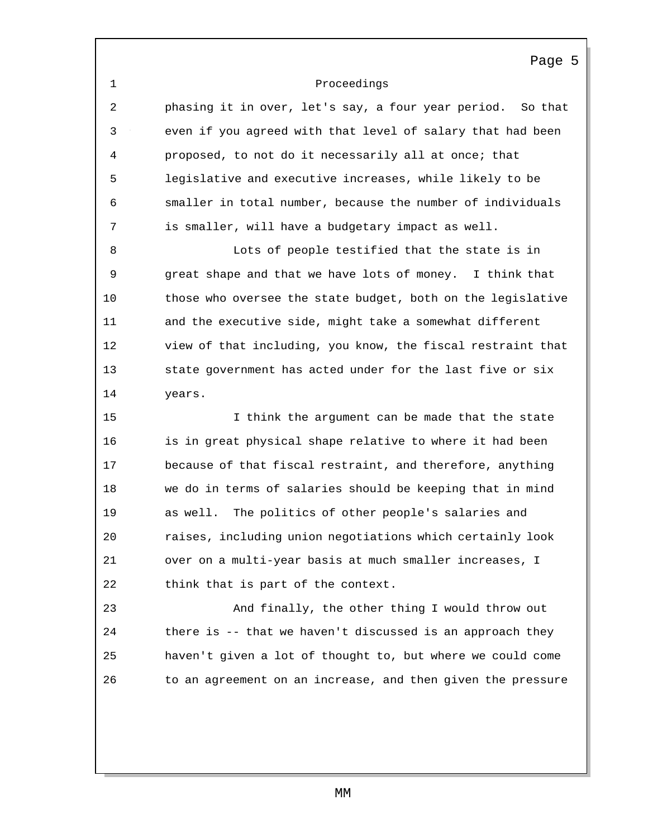Proceedings

 phasing it in over, let's say, a four year period. So that even if you agreed with that level of salary that had been proposed, to not do it necessarily all at once; that legislative and executive increases, while likely to be smaller in total number, because the number of individuals is smaller, will have a budgetary impact as well.

 Lots of people testified that the state is in great shape and that we have lots of money. I think that those who oversee the state budget, both on the legislative and the executive side, might take a somewhat different view of that including, you know, the fiscal restraint that state government has acted under for the last five or six years.

 I think the argument can be made that the state is in great physical shape relative to where it had been because of that fiscal restraint, and therefore, anything we do in terms of salaries should be keeping that in mind as well. The politics of other people's salaries and raises, including union negotiations which certainly look over on a multi-year basis at much smaller increases, I think that is part of the context.

 And finally, the other thing I would throw out there is -- that we haven't discussed is an approach they haven't given a lot of thought to, but where we could come to an agreement on an increase, and then given the pressure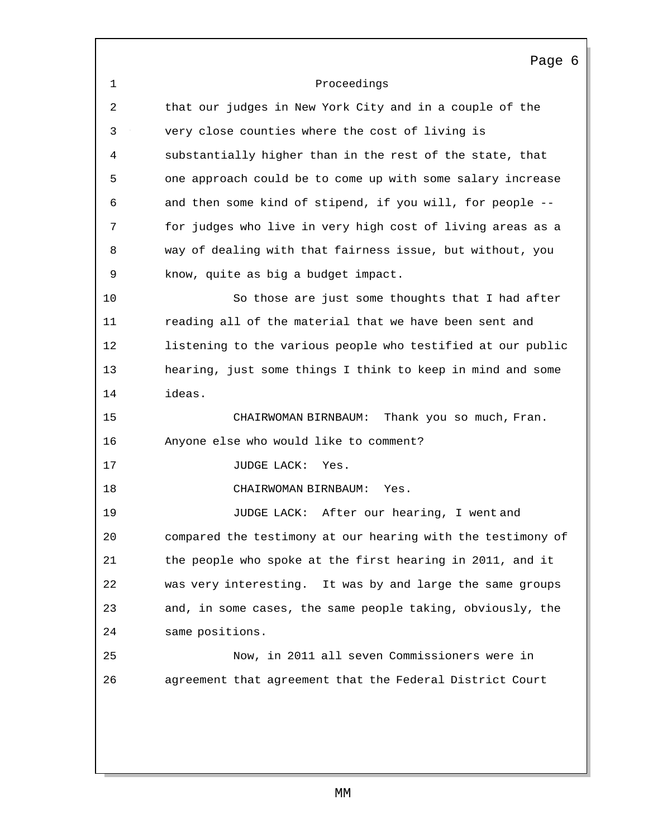Proceedings Page 6 that our judges in New York City and in a couple of the very close counties where the cost of living is substantially higher than in the rest of the state, that one approach could be to come up with some salary increase and then some kind of stipend, if you will, for people -- for judges who live in very high cost of living areas as a way of dealing with that fairness issue, but without, you know, quite as big a budget impact. So those are just some thoughts that I had after reading all of the material that we have been sent and listening to the various people who testified at our public hearing, just some things I think to keep in mind and some ideas. CHAIRWOMAN BIRNBAUM: Thank you so much, Fran. Anyone else who would like to comment? 17 JUDGE LACK: Yes. CHAIRWOMAN BIRNBAUM: Yes. JUDGE LACK: After our hearing, I went and compared the testimony at our hearing with the testimony of the people who spoke at the first hearing in 2011, and it was very interesting. It was by and large the same groups and, in some cases, the same people taking, obviously, the same positions. Now, in 2011 all seven Commissioners were in agreement that agreement that the Federal District Court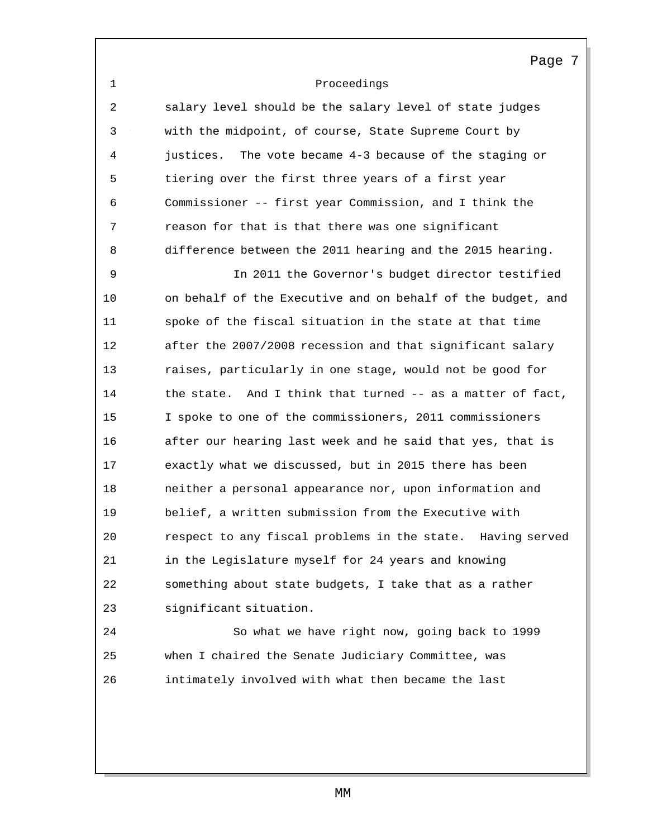|--|--|

 salary level should be the salary level of state judges with the midpoint, of course, State Supreme Court by justices. The vote became 4-3 because of the staging or tiering over the first three years of a first year Commissioner -- first year Commission, and I think the reason for that is that there was one significant difference between the 2011 hearing and the 2015 hearing.

 In 2011 the Governor's budget director testified on behalf of the Executive and on behalf of the budget, and spoke of the fiscal situation in the state at that time after the 2007/2008 recession and that significant salary raises, particularly in one stage, would not be good for 14 the state. And I think that turned -- as a matter of fact, I spoke to one of the commissioners, 2011 commissioners after our hearing last week and he said that yes, that is exactly what we discussed, but in 2015 there has been neither a personal appearance nor, upon information and belief, a written submission from the Executive with respect to any fiscal problems in the state. Having served in the Legislature myself for 24 years and knowing something about state budgets, I take that as a rather significant situation.

 So what we have right now, going back to 1999 when I chaired the Senate Judiciary Committee, was intimately involved with what then became the last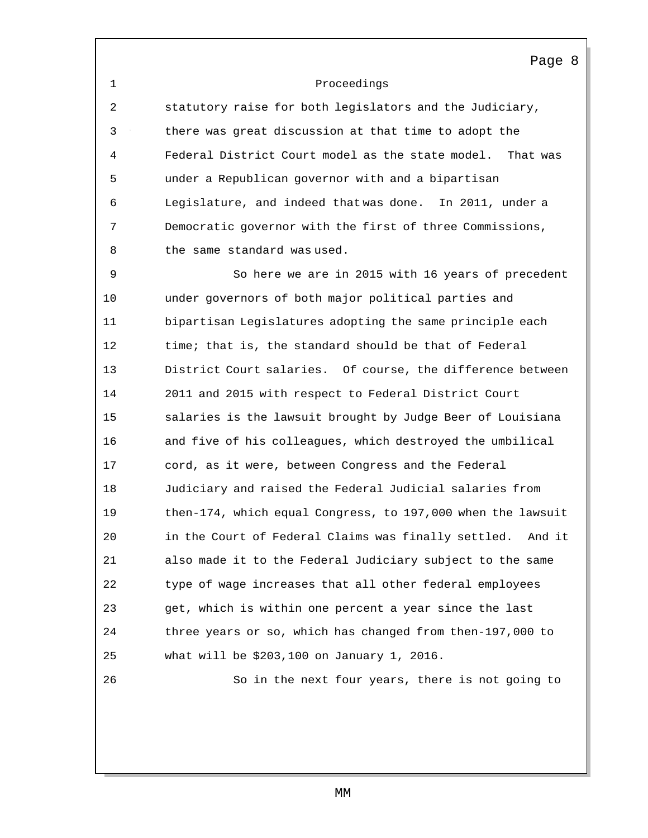## Proceedings

 statutory raise for both legislators and the Judiciary, there was great discussion at that time to adopt the Federal District Court model as the state model. That was under a Republican governor with and a bipartisan Legislature, and indeed that was done. In 2011, under a Democratic governor with the first of three Commissions, 8 the same standard was used.

 So here we are in 2015 with 16 years of precedent under governors of both major political parties and bipartisan Legislatures adopting the same principle each time; that is, the standard should be that of Federal District Court salaries. Of course, the difference between 2011 and 2015 with respect to Federal District Court salaries is the lawsuit brought by Judge Beer of Louisiana and five of his colleagues, which destroyed the umbilical cord, as it were, between Congress and the Federal Judiciary and raised the Federal Judicial salaries from then-174, which equal Congress, to 197,000 when the lawsuit in the Court of Federal Claims was finally settled. And it also made it to the Federal Judiciary subject to the same type of wage increases that all other federal employees get, which is within one percent a year since the last three years or so, which has changed from then-197,000 to what will be \$203,100 on January 1, 2016. So in the next four years, there is not going to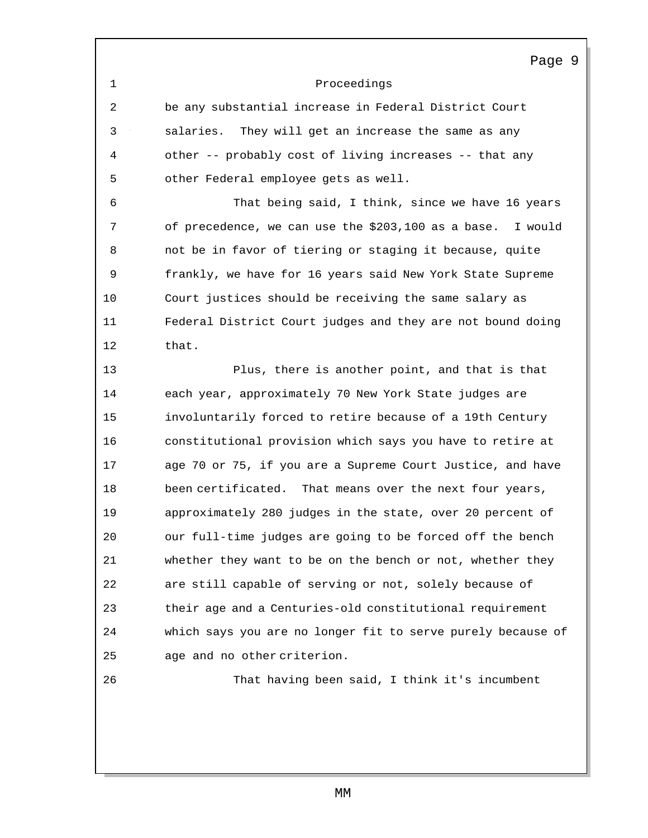Proceedings

 be any substantial increase in Federal District Court salaries. They will get an increase the same as any other -- probably cost of living increases -- that any other Federal employee gets as well.

 That being said, I think, since we have 16 years of precedence, we can use the \$203,100 as a base. I would not be in favor of tiering or staging it because, quite frankly, we have for 16 years said New York State Supreme Court justices should be receiving the same salary as Federal District Court judges and they are not bound doing that.

 Plus, there is another point, and that is that each year, approximately 70 New York State judges are involuntarily forced to retire because of a 19th Century constitutional provision which says you have to retire at age 70 or 75, if you are a Supreme Court Justice, and have been certificated. That means over the next four years, approximately 280 judges in the state, over 20 percent of our full-time judges are going to be forced off the bench whether they want to be on the bench or not, whether they are still capable of serving or not, solely because of their age and a Centuries-old constitutional requirement which says you are no longer fit to serve purely because of age and no other criterion.

That having been said, I think it's incumbent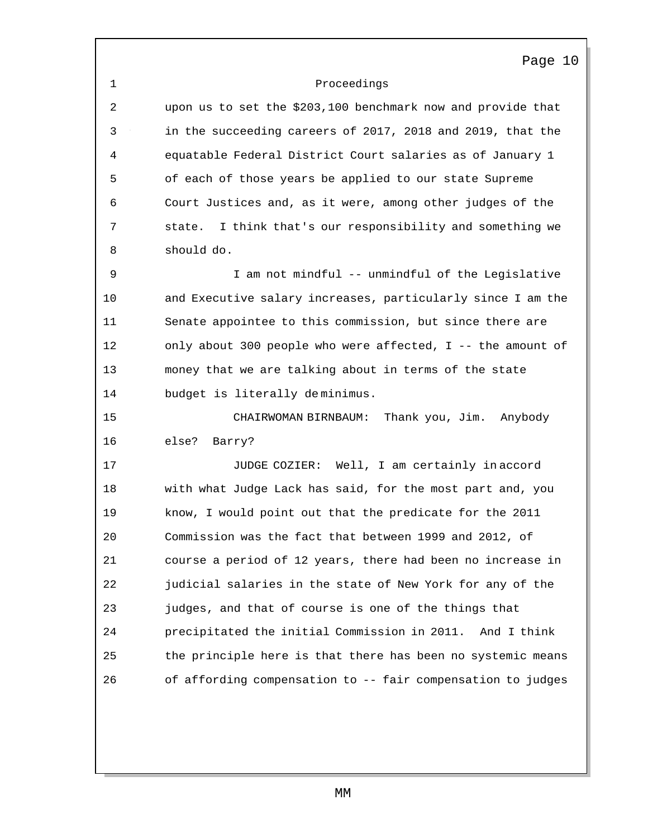## Proceedings

 upon us to set the \$203,100 benchmark now and provide that in the succeeding careers of 2017, 2018 and 2019, that the equatable Federal District Court salaries as of January 1 of each of those years be applied to our state Supreme Court Justices and, as it were, among other judges of the state. I think that's our responsibility and something we should do.

 I am not mindful -- unmindful of the Legislative and Executive salary increases, particularly since I am the Senate appointee to this commission, but since there are only about 300 people who were affected, I -- the amount of money that we are talking about in terms of the state budget is literally de minimus.

 CHAIRWOMAN BIRNBAUM: Thank you, Jim. Anybody else? Barry?

 JUDGE COZIER: Well, I am certainly in accord with what Judge Lack has said, for the most part and, you know, I would point out that the predicate for the 2011 Commission was the fact that between 1999 and 2012, of course a period of 12 years, there had been no increase in judicial salaries in the state of New York for any of the judges, and that of course is one of the things that precipitated the initial Commission in 2011. And I think the principle here is that there has been no systemic means of affording compensation to -- fair compensation to judges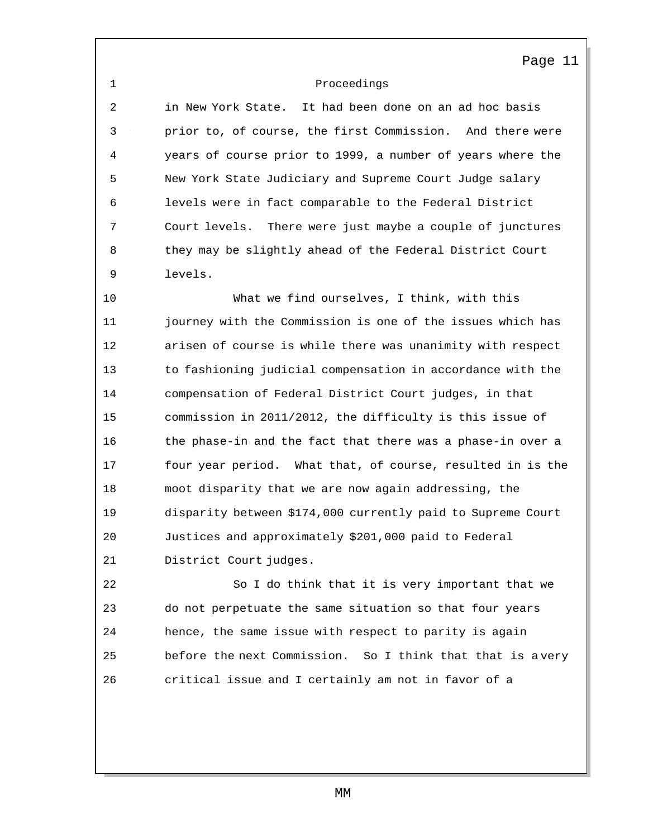# 1 Proceedings

2 in New York State. It had been done on an ad hoc basis 3 prior to, of course, the first Commission. And there were 4 years of course prior to 1999, a number of years where the 5 New York State Judiciary and Supreme Court Judge salary 6 levels were in fact comparable to the Federal District 7 Court levels. There were just maybe a couple of junctures 8 they may be slightly ahead of the Federal District Court 9 levels.

10 What we find ourselves, I think, with this 11 journey with the Commission is one of the issues which has 12 arisen of course is while there was unanimity with respect 13 to fashioning judicial compensation in accordance with the 14 compensation of Federal District Court judges, in that 15 commission in 2011/2012, the difficulty is this issue of 16 the phase-in and the fact that there was a phase-in over a 17 four year period. What that, of course, resulted in is the 18 moot disparity that we are now again addressing, the 19 disparity between \$174,000 currently paid to Supreme Court 20 Justices and approximately \$201,000 paid to Federal 21 District Court judges.

22 So I do think that it is very important that we 23 do not perpetuate the same situation so that four years 24 hence, the same issue with respect to parity is again 25 before the next Commission. So I think that that is a very 26 critical issue and I certainly am not in favor of a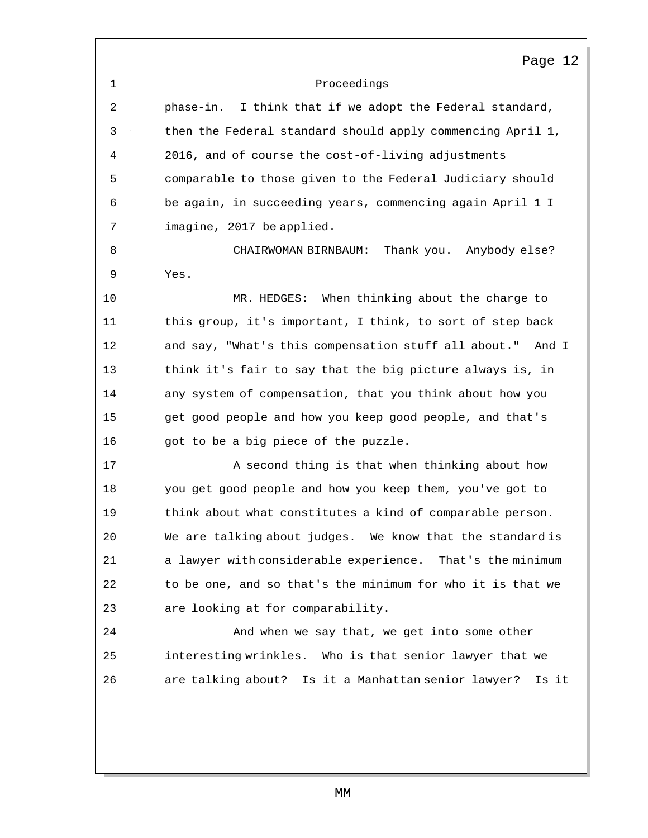1 Proceedings Page 12 2 phase-in. I think that if we adopt the Federal standard, 3 then the Federal standard should apply commencing April 1, 4 2016, and of course the cost-of-living adjustments 5 comparable to those given to the Federal Judiciary should 6 be again, in succeeding years, commencing again April 1 I 7 imagine, 2017 be applied. 8 CHAIRWOMAN BIRNBAUM: Thank you. Anybody else? 9 Yes. 10 MR. HEDGES: When thinking about the charge to 11 this group, it's important, I think, to sort of step back 12 and say, "What's this compensation stuff all about." And I 13 think it's fair to say that the big picture always is, in 14 any system of compensation, that you think about how you 15 get good people and how you keep good people, and that's 16 got to be a big piece of the puzzle. 17 A second thing is that when thinking about how 18 you get good people and how you keep them, you've got to 19 think about what constitutes a kind of comparable person. 20 We are talking about judges. We know that the standard is 21 a lawyer with considerable experience. That's the minimum 22 to be one, and so that's the minimum for who it is that we 23 are looking at for comparability. 24 And when we say that, we get into some other 25 interesting wrinkles. Who is that senior lawyer that we 26 are talking about? Is it a Manhattan senior lawyer? Is it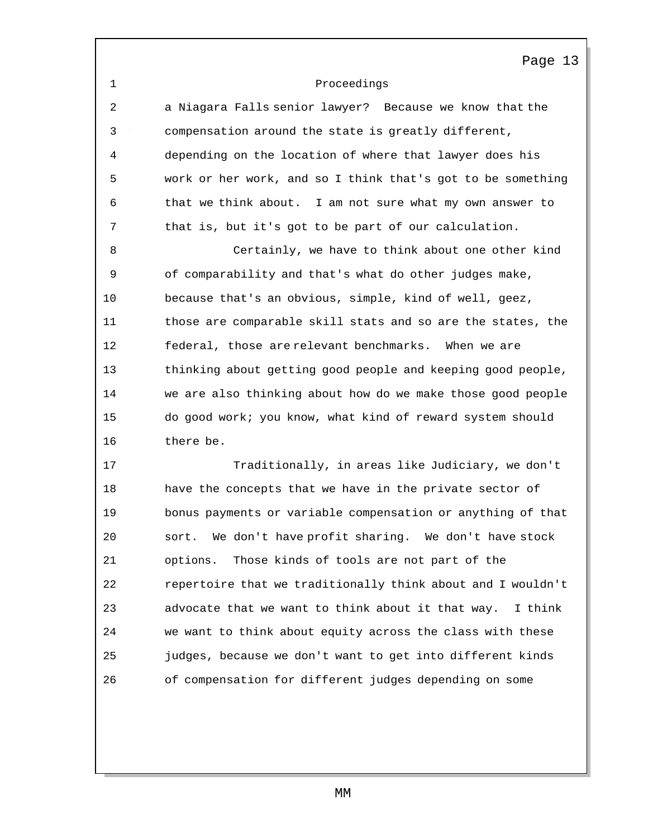1 Proceedings Page 13 2 a Niagara Falls senior lawyer? Because we know that the 3 compensation around the state is greatly different, 4 depending on the location of where that lawyer does his 5 work or her work, and so I think that's got to be something 6 that we think about. I am not sure what my own answer to 7 that is, but it's got to be part of our calculation. 8 Certainly, we have to think about one other kind 9 of comparability and that's what do other judges make, 10 because that's an obvious, simple, kind of well, geez, 11 those are comparable skill stats and so are the states, the 12 federal, those are relevant benchmarks. When we are 13 thinking about getting good people and keeping good people, 14 we are also thinking about how do we make those good people 15 do good work; you know, what kind of reward system should 16 there be. 17 Traditionally, in areas like Judiciary, we don't 18 have the concepts that we have in the private sector of 19 bonus payments or variable compensation or anything of that 20 sort. We don't have profit sharing. We don't have stock 21 options. Those kinds of tools are not part of the 22 repertoire that we traditionally think about and I wouldn't 23 advocate that we want to think about it that way. I think 24 we want to think about equity across the class with these 25 judges, because we don't want to get into different kinds 26 of compensation for different judges depending on some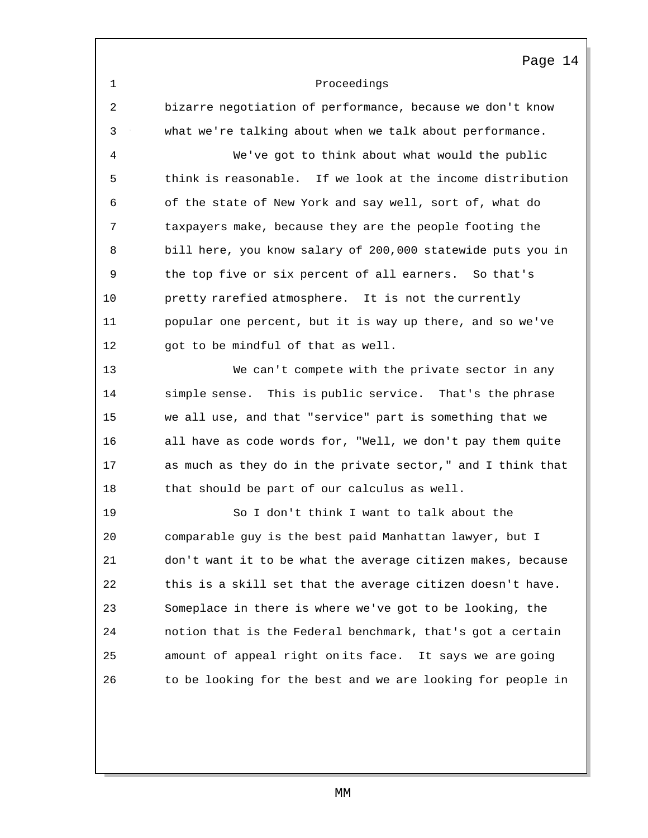|    | Page 14                                                     |
|----|-------------------------------------------------------------|
| 1  | Proceedings                                                 |
| 2  | bizarre negotiation of performance, because we don't know   |
| 3  | what we're talking about when we talk about performance.    |
| 4  | We've got to think about what would the public              |
| 5  | think is reasonable. If we look at the income distribution  |
| 6  | of the state of New York and say well, sort of, what do     |
| 7  | taxpayers make, because they are the people footing the     |
| 8  | bill here, you know salary of 200,000 statewide puts you in |
| 9  | the top five or six percent of all earners. So that's       |
| 10 | pretty rarefied atmosphere. It is not the currently         |
| 11 | popular one percent, but it is way up there, and so we've   |
| 12 | got to be mindful of that as well.                          |
| 13 | We can't compete with the private sector in any             |
| 14 | simple sense. This is public service. That's the phrase     |
| 15 | we all use, and that "service" part is something that we    |
| 16 | all have as code words for, "Well, we don't pay them quite  |
| 17 | as much as they do in the private sector," and I think that |
| 18 | that should be part of our calculus as well.                |
| 19 | So I don't think I want to talk about the                   |
| 20 | comparable guy is the best paid Manhattan lawyer, but I     |
| 21 | don't want it to be what the average citizen makes, because |
| 22 | this is a skill set that the average citizen doesn't have.  |
| 23 | Someplace in there is where we've got to be looking, the    |
| 24 | notion that is the Federal benchmark, that's got a certain  |
| 25 | amount of appeal right onits face. It says we are going     |
| 26 | to be looking for the best and we are looking for people in |
|    |                                                             |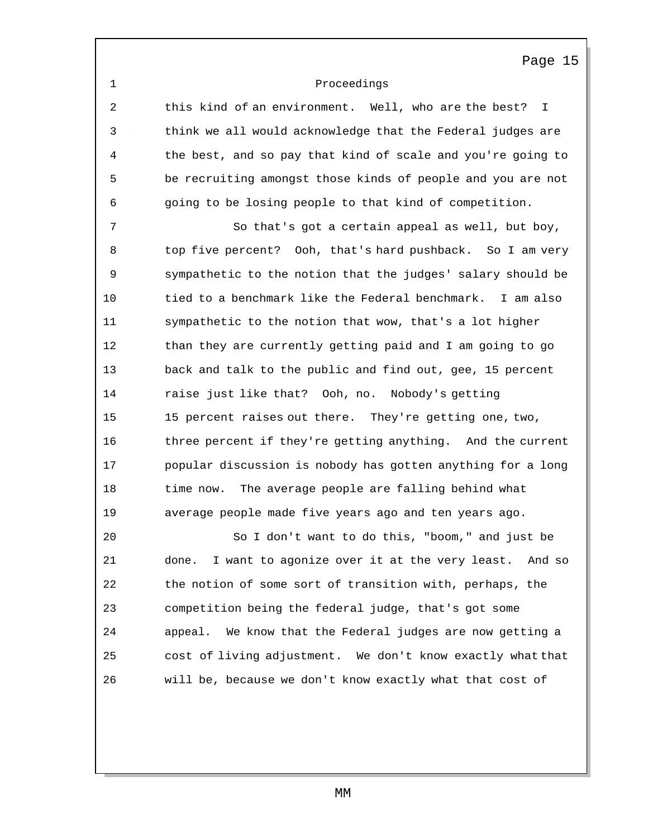### 1 Proceedings

2 this kind of an environment. Well, who are the best? I 3 think we all would acknowledge that the Federal judges are 4 the best, and so pay that kind of scale and you're going to 5 be recruiting amongst those kinds of people and you are not 6 going to be losing people to that kind of competition.

7 So that's got a certain appeal as well, but boy, 8 top five percent? Ooh, that's hard pushback. So I am very 9 sympathetic to the notion that the judges' salary should be 10 tied to a benchmark like the Federal benchmark. I am also 11 sympathetic to the notion that wow, that's a lot higher 12 than they are currently getting paid and I am going to go 13 back and talk to the public and find out, gee, 15 percent 14 raise just like that? Ooh, no. Nobody's getting 15 15 percent raises out there. They're getting one, two, 16 three percent if they're getting anything. And the current 17 popular discussion is nobody has gotten anything for a long 18 time now. The average people are falling behind what 19 average people made five years ago and ten years ago.

20 So I don't want to do this, "boom," and just be 21 done. I want to agonize over it at the very least. And so 22 the notion of some sort of transition with, perhaps, the 23 competition being the federal judge, that's got some 24 appeal. We know that the Federal judges are now getting a 25 cost of living adjustment. We don't know exactly what that 26 will be, because we don't know exactly what that cost of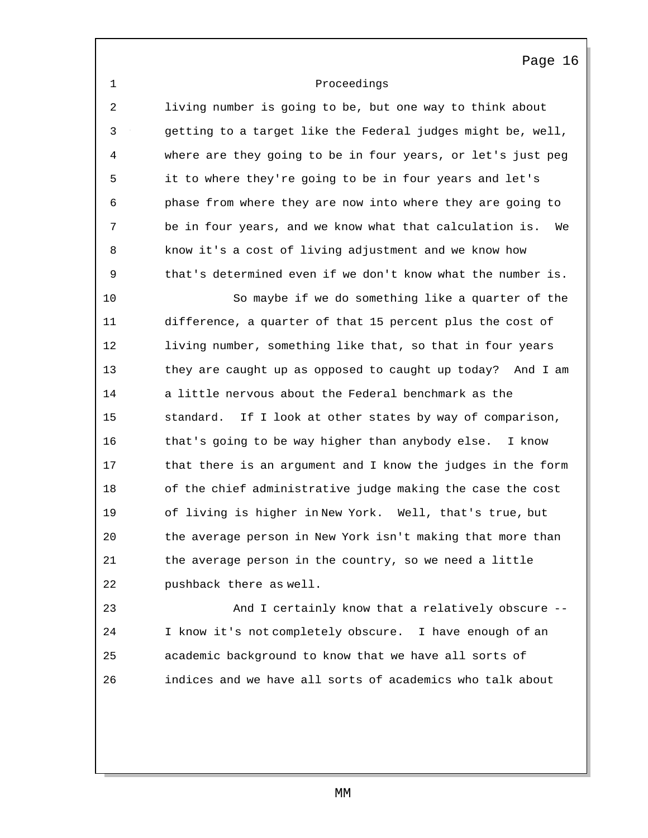1 Proceedings

2 living number is going to be, but one way to think about 3 getting to a target like the Federal judges might be, well, 4 where are they going to be in four years, or let's just peg 5 it to where they're going to be in four years and let's 6 phase from where they are now into where they are going to 7 be in four years, and we know what that calculation is. We 8 know it's a cost of living adjustment and we know how 9 that's determined even if we don't know what the number is.

10 So maybe if we do something like a quarter of the 11 difference, a quarter of that 15 percent plus the cost of 12 living number, something like that, so that in four years 13 they are caught up as opposed to caught up today? And I am 14 a little nervous about the Federal benchmark as the 15 standard. If I look at other states by way of comparison, 16 that's going to be way higher than anybody else. I know 17 that there is an argument and I know the judges in the form 18 of the chief administrative judge making the case the cost 19 of living is higher in New York. Well, that's true, but 20 the average person in New York isn't making that more than 21 the average person in the country, so we need a little 22 pushback there as well.

23 And I certainly know that a relatively obscure -- 24 I know it's not completely obscure. I have enough of an 25 academic background to know that we have all sorts of 26 indices and we have all sorts of academics who talk about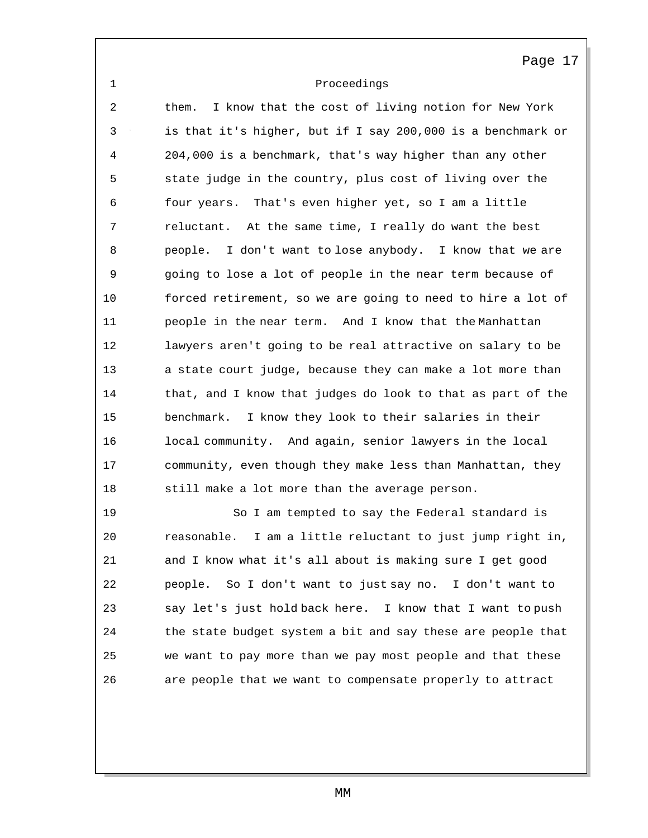1 Proceedings

2 them. I know that the cost of living notion for New York 3 is that it's higher, but if I say 200,000 is a benchmark or 4 204,000 is a benchmark, that's way higher than any other 5 state judge in the country, plus cost of living over the 6 four years. That's even higher yet, so I am a little 7 reluctant. At the same time, I really do want the best 8 people. I don't want to lose anybody. I know that we are 9 going to lose a lot of people in the near term because of 10 forced retirement, so we are going to need to hire a lot of 11 people in the near term. And I know that the Manhattan 12 lawyers aren't going to be real attractive on salary to be 13 a state court judge, because they can make a lot more than 14 that, and I know that judges do look to that as part of the 15 benchmark. I know they look to their salaries in their 16 local community. And again, senior lawyers in the local 17 community, even though they make less than Manhattan, they 18 still make a lot more than the average person.

19 So I am tempted to say the Federal standard is 20 reasonable. I am a little reluctant to just jump right in, 21 and I know what it's all about is making sure I get good 22 people. So I don't want to just say no. I don't want to 23 say let's just hold back here. I know that I want to push 24 the state budget system a bit and say these are people that 25 we want to pay more than we pay most people and that these 26 are people that we want to compensate properly to attract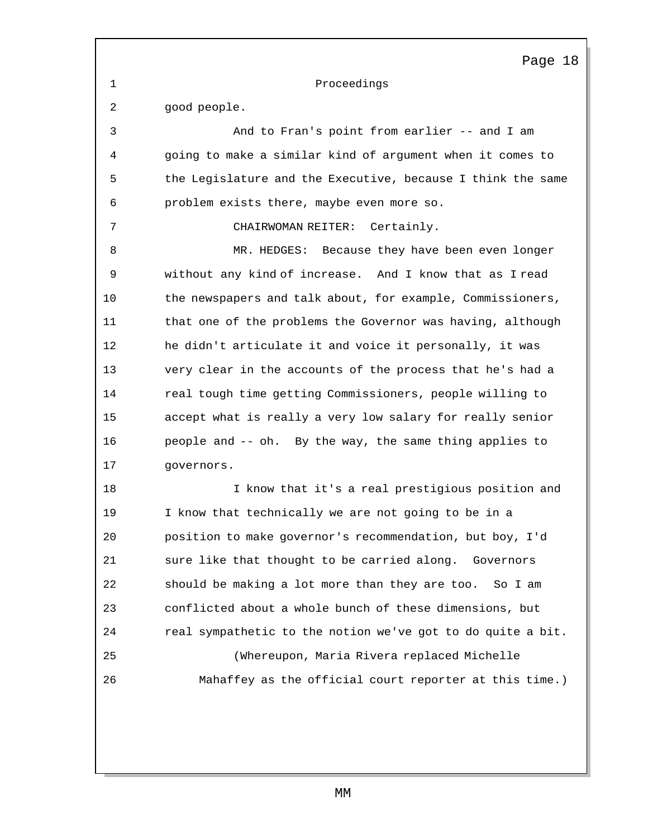1 Proceedings

2 good people.

3 And to Fran's point from earlier -- and I am 4 going to make a similar kind of argument when it comes to 5 the Legislature and the Executive, because I think the same 6 problem exists there, maybe even more so. 7 CHAIRWOMAN REITER: Certainly. 8 MR. HEDGES: Because they have been even longer 9 without any kind of increase. And I know that as I read 10 the newspapers and talk about, for example, Commissioners, 11 that one of the problems the Governor was having, although 12 he didn't articulate it and voice it personally, it was 13 very clear in the accounts of the process that he's had a 14 real tough time getting Commissioners, people willing to 15 accept what is really a very low salary for really senior 16 people and -- oh. By the way, the same thing applies to 17 governors. 18 I know that it's a real prestigious position and 19 I know that technically we are not going to be in a 20 position to make governor's recommendation, but boy, I'd 21 sure like that thought to be carried along. Governors 22 should be making a lot more than they are too. So I am 23 conflicted about a whole bunch of these dimensions, but 24 real sympathetic to the notion we've got to do quite a bit. 25 (Whereupon, Maria Rivera replaced Michelle 26 Mahaffey as the official court reporter at this time.)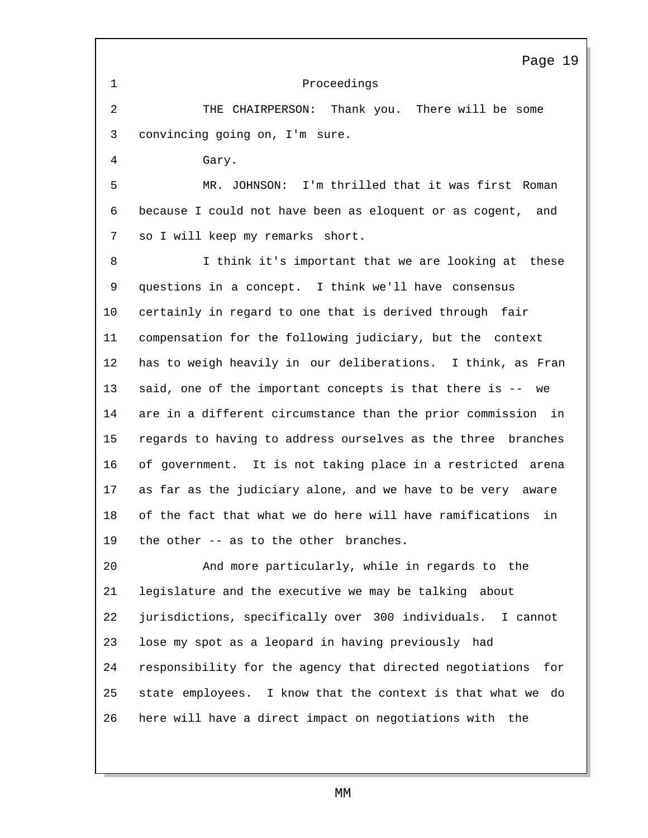|                | Page 19                                                         |
|----------------|-----------------------------------------------------------------|
| $\mathbf 1$    | Proceedings                                                     |
| $\overline{c}$ | THE CHAIRPERSON: Thank you. There will be some                  |
| 3              | convincing going on, I'm sure.                                  |
| $\overline{4}$ | Gary.                                                           |
| 5              | MR. JOHNSON: I'm thrilled that it was first Roman               |
| 6              | because I could not have been as eloquent or as cogent, and     |
| 7              | so I will keep my remarks short.                                |
| 8              | I think it's important that we are looking at these             |
| 9              | questions in a concept. I think we'll have consensus            |
| 10             | certainly in regard to one that is derived through fair         |
| 11             | compensation for the following judiciary, but the context       |
| 12             | has to weigh heavily in our deliberations. I think, as Fran     |
| 13             | said, one of the important concepts is that there is -- we      |
| 14             | are in a different circumstance than the prior commission in    |
| 15             | regards to having to address ourselves as the three branches    |
| 16             | of government. It is not taking place in a restricted arena     |
| 17             | as far as the judiciary alone, and we have to be very aware     |
| 18             | of the fact that what we do here will have ramifications<br>in  |
| 19             | the other -- as to the other branches.                          |
| 20             | And more particularly, while in regards to the                  |
| 21             | legislature and the executive we may be talking about           |
| 22             | jurisdictions, specifically over 300 individuals. I cannot      |
| 23             | lose my spot as a leopard in having previously had              |
| 24             | responsibility for the agency that directed negotiations<br>for |
| 25             | state employees. I know that the context is that what we do     |
| 26             | here will have a direct impact on negotiations with the         |
|                |                                                                 |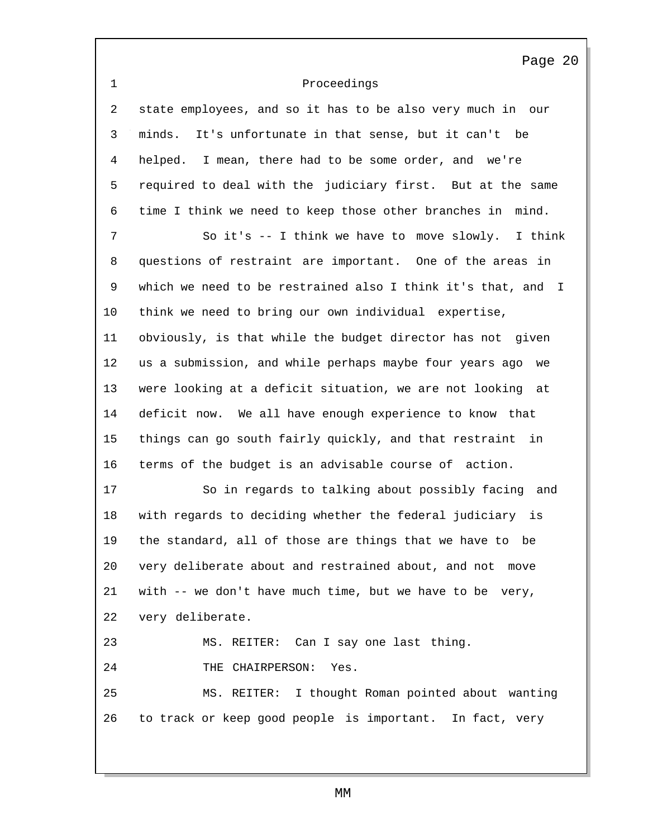1 Proceedings Page 20 2 state employees, and so it has to be also very much in our 3 minds. It's unfortunate in that sense, but it can't be 4 helped. I mean, there had to be some order, and we're 5 required to deal with the judiciary first. But at the same 6 time I think we need to keep those other branches in mind. 7 So it's -- I think we have to move slowly. I think 8 questions of restraint are important. One of the areas in 9 which we need to be restrained also I think it's that, and I 10 think we need to bring our own individual expertise, 11 obviously, is that while the budget director has not given 12 us a submission, and while perhaps maybe four years ago we 13 were looking at a deficit situation, we are not looking at 14 deficit now. We all have enough experience to know that 15 things can go south fairly quickly, and that restraint in 16 terms of the budget is an advisable course of action. 17 So in regards to talking about possibly facing and 18 with regards to deciding whether the federal judiciary is 19 the standard, all of those are things that we have to be 20 very deliberate about and restrained about, and not move 21 with -- we don't have much time, but we have to be very, 22 very deliberate. 23 MS. REITER: Can I say one last thing. 24 THE CHAIRPERSON: Yes. 25 MS. REITER: I thought Roman pointed about wanting 26 to track or keep good people is important. In fact, very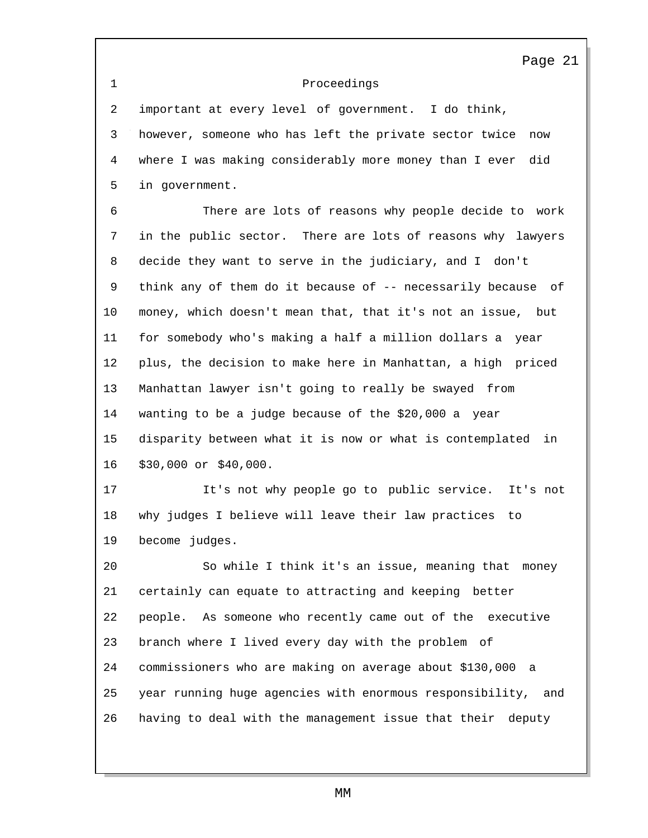1 Proceedings

2 important at every level of government. I do think, 3 however, someone who has left the private sector twice now 4 where I was making considerably more money than I ever did 5 in government.

6 There are lots of reasons why people decide to work 7 in the public sector. There are lots of reasons why lawyers 8 decide they want to serve in the judiciary, and I don't 9 think any of them do it because of -- necessarily because of 10 money, which doesn't mean that, that it's not an issue, but 11 for somebody who's making a half a million dollars a year 12 plus, the decision to make here in Manhattan, a high priced 13 Manhattan lawyer isn't going to really be swayed from 14 wanting to be a judge because of the \$20,000 a year 15 disparity between what it is now or what is contemplated in 16 \$30,000 or \$40,000.

17 It's not why people go to public service. It's not 18 why judges I believe will leave their law practices to 19 become judges.

 So while I think it's an issue, meaning that money certainly can equate to attracting and keeping better people. As someone who recently came out of the executive branch where I lived every day with the problem of commissioners who are making on average about \$130,000 a year running huge agencies with enormous responsibility, and having to deal with the management issue that their deputy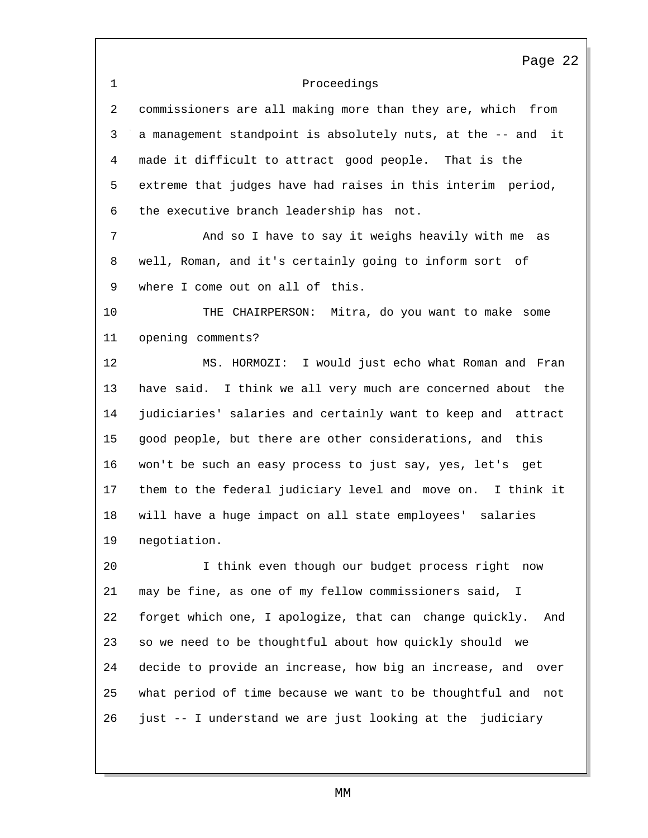Proceedings Page 22 commissioners are all making more than they are, which from a management standpoint is absolutely nuts, at the -- and it made it difficult to attract good people. That is the extreme that judges have had raises in this interim period, the executive branch leadership has not. And so I have to say it weighs heavily with me as well, Roman, and it's certainly going to inform sort of where I come out on all of this. THE CHAIRPERSON: Mitra, do you want to make some opening comments? MS. HORMOZI: I would just echo what Roman and Fran have said. I think we all very much are concerned about the judiciaries' salaries and certainly want to keep and attract good people, but there are other considerations, and this won't be such an easy process to just say, yes, let's get them to the federal judiciary level and move on. I think it will have a huge impact on all state employees' salaries negotiation. I think even though our budget process right now may be fine, as one of my fellow commissioners said, I forget which one, I apologize, that can change quickly. And so we need to be thoughtful about how quickly should we decide to provide an increase, how big an increase, and over what period of time because we want to be thoughtful and not just -- I understand we are just looking at the judiciary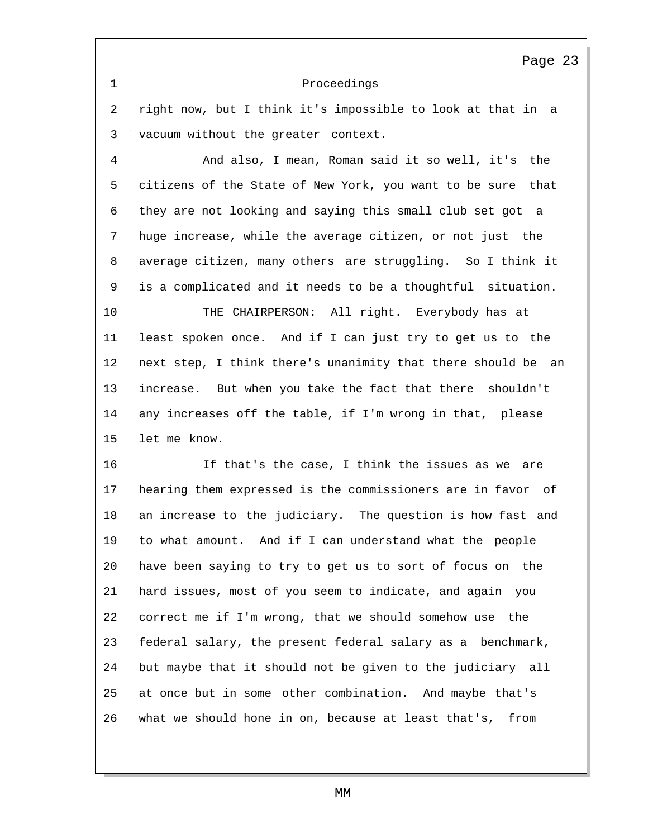#### Proceedings

 right now, but I think it's impossible to look at that in a vacuum without the greater context.

 And also, I mean, Roman said it so well, it's the citizens of the State of New York, you want to be sure that they are not looking and saying this small club set got a huge increase, while the average citizen, or not just the average citizen, many others are struggling. So I think it is a complicated and it needs to be a thoughtful situation.

 THE CHAIRPERSON: All right. Everybody has at least spoken once. And if I can just try to get us to the next step, I think there's unanimity that there should be an increase. But when you take the fact that there shouldn't any increases off the table, if I'm wrong in that, please let me know.

 If that's the case, I think the issues as we are hearing them expressed is the commissioners are in favor of an increase to the judiciary. The question is how fast and to what amount. And if I can understand what the people have been saying to try to get us to sort of focus on the hard issues, most of you seem to indicate, and again you correct me if I'm wrong, that we should somehow use the federal salary, the present federal salary as a benchmark, but maybe that it should not be given to the judiciary all at once but in some other combination. And maybe that's what we should hone in on, because at least that's, from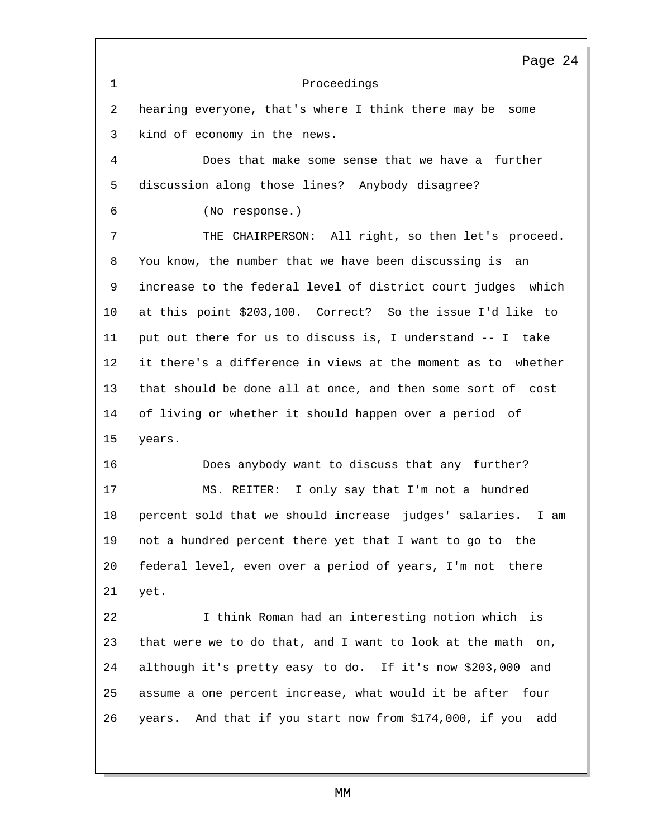Proceedings Page 24 hearing everyone, that's where I think there may be some kind of economy in the news. Does that make some sense that we have a further discussion along those lines? Anybody disagree? (No response.) THE CHAIRPERSON: All right, so then let's proceed. You know, the number that we have been discussing is an increase to the federal level of district court judges which at this point \$203,100. Correct? So the issue I'd like to put out there for us to discuss is, I understand -- I take it there's a difference in views at the moment as to whether that should be done all at once, and then some sort of cost of living or whether it should happen over a period of years. Does anybody want to discuss that any further? MS. REITER: I only say that I'm not a hundred percent sold that we should increase judges' salaries. I am not a hundred percent there yet that I want to go to the federal level, even over a period of years, I'm not there yet. I think Roman had an interesting notion which is that were we to do that, and I want to look at the math on, although it's pretty easy to do. If it's now \$203,000 and assume a one percent increase, what would it be after four years. And that if you start now from \$174,000, if you add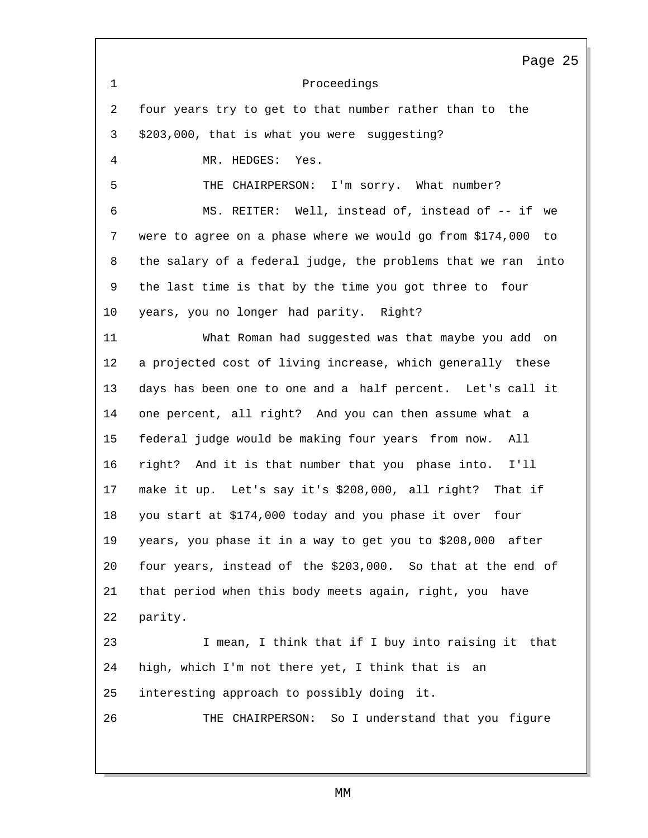Proceedings Page 25 four years try to get to that number rather than to the \$203,000, that is what you were suggesting? MR. HEDGES: Yes. THE CHAIRPERSON: I'm sorry. What number? MS. REITER: Well, instead of, instead of -- if we were to agree on a phase where we would go from \$174,000 to the salary of a federal judge, the problems that we ran into the last time is that by the time you got three to four years, you no longer had parity. Right? What Roman had suggested was that maybe you add on a projected cost of living increase, which generally these days has been one to one and a half percent. Let's call it one percent, all right? And you can then assume what a federal judge would be making four years from now. All right? And it is that number that you phase into. I'll make it up. Let's say it's \$208,000, all right? That if you start at \$174,000 today and you phase it over four years, you phase it in a way to get you to \$208,000 after four years, instead of the \$203,000. So that at the end of that period when this body meets again, right, you have parity. I mean, I think that if I buy into raising it that high, which I'm not there yet, I think that is an interesting approach to possibly doing it. THE CHAIRPERSON: So I understand that you figure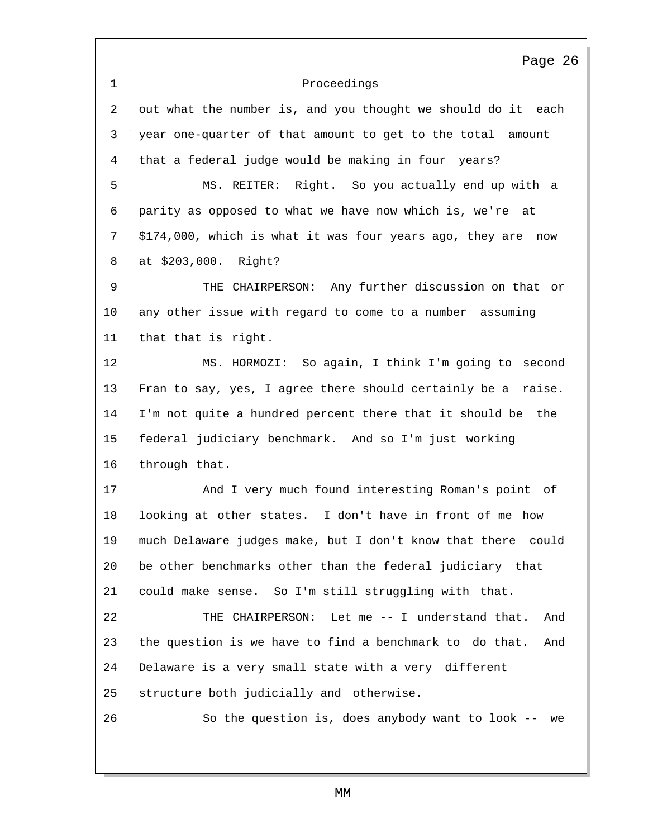|             | Page 26                                                        |
|-------------|----------------------------------------------------------------|
| $\mathbf 1$ | Proceedings                                                    |
| 2           | out what the number is, and you thought we should do it each   |
| 3           | year one-quarter of that amount to get to the total amount     |
| 4           | that a federal judge would be making in four years?            |
| 5           | MS. REITER: Right. So you actually end up with a               |
| 6           | parity as opposed to what we have now which is, we're at       |
| 7           | \$174,000, which is what it was four years ago, they are now   |
| 8           | at \$203,000. Right?                                           |
| 9           | THE CHAIRPERSON: Any further discussion on that or             |
| 10          | any other issue with regard to come to a number assuming       |
| 11          | that that is right.                                            |
| 12          | MS. HORMOZI: So again, I think I'm going to second             |
| 13          | Fran to say, yes, I agree there should certainly be a raise.   |
| 14          | I'm not quite a hundred percent there that it should be the    |
| 15          | federal judiciary benchmark. And so I'm just working           |
| 16          | through that.                                                  |
| 17          | And I very much found interesting Roman's point of             |
| 18          | looking at other states. I don't have in front of me how       |
| 19          | much Delaware judges make, but I don't know that there could   |
| 20          | be other benchmarks other than the federal judiciary that      |
| 21          | could make sense. So I'm still struggling with that.           |
| 22          | THE CHAIRPERSON: Let me -- I understand that.<br>And           |
| 23          | the question is we have to find a benchmark to do that.<br>And |
| 24          | Delaware is a very small state with a very different           |
| 25          | structure both judicially and otherwise.                       |
| 26          | So the question is, does anybody want to look -- we            |
|             |                                                                |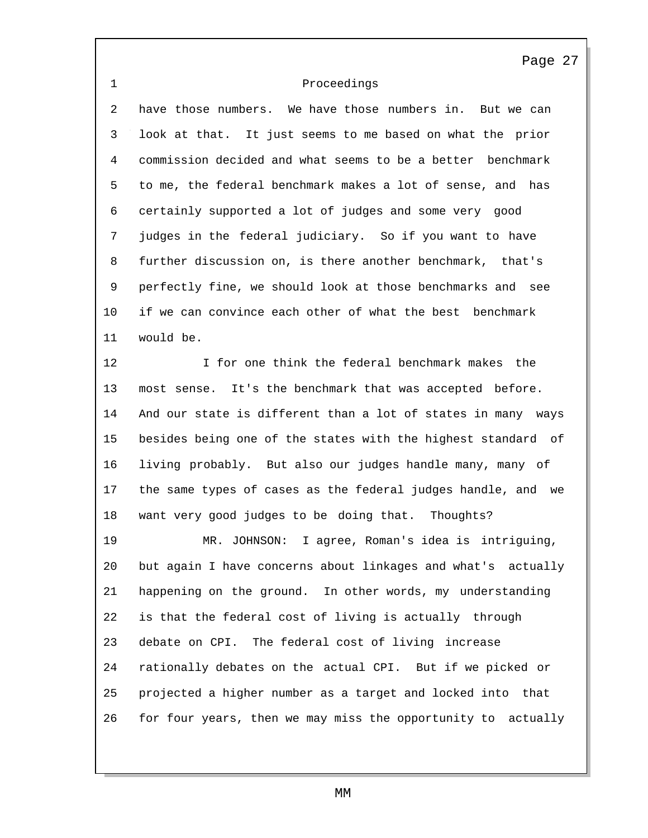# Proceedings

 have those numbers. We have those numbers in. But we can look at that. It just seems to me based on what the prior commission decided and what seems to be a better benchmark to me, the federal benchmark makes a lot of sense, and has certainly supported a lot of judges and some very good judges in the federal judiciary. So if you want to have further discussion on, is there another benchmark, that's perfectly fine, we should look at those benchmarks and see if we can convince each other of what the best benchmark would be.

 I for one think the federal benchmark makes the most sense. It's the benchmark that was accepted before. And our state is different than a lot of states in many ways besides being one of the states with the highest standard of living probably. But also our judges handle many, many of the same types of cases as the federal judges handle, and we want very good judges to be doing that. Thoughts?

 MR. JOHNSON: I agree, Roman's idea is intriguing, but again I have concerns about linkages and what's actually happening on the ground. In other words, my understanding is that the federal cost of living is actually through debate on CPI. The federal cost of living increase rationally debates on the actual CPI. But if we picked or projected a higher number as a target and locked into that for four years, then we may miss the opportunity to actually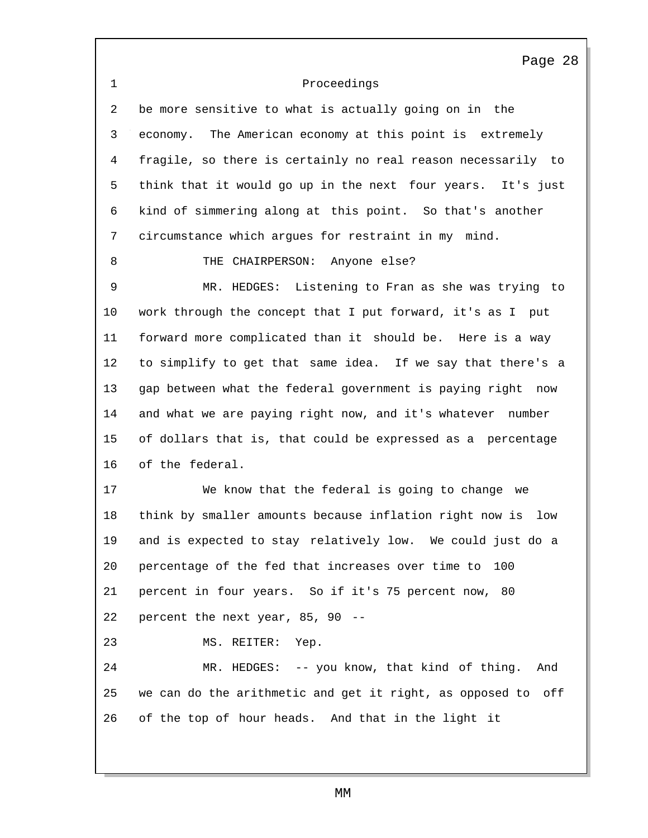Proceedings be more sensitive to what is actually going on in the Page 28 economy. The American economy at this point is extremely fragile, so there is certainly no real reason necessarily to think that it would go up in the next four years. It's just kind of simmering along at this point. So that's another circumstance which argues for restraint in my mind. 8 THE CHAIRPERSON: Anyone else? MR. HEDGES: Listening to Fran as she was trying to work through the concept that I put forward, it's as I put forward more complicated than it should be. Here is a way to simplify to get that same idea. If we say that there's a gap between what the federal government is paying right now and what we are paying right now, and it's whatever number of dollars that is, that could be expressed as a percentage of the federal. We know that the federal is going to change we think by smaller amounts because inflation right now is low and is expected to stay relatively low. We could just do a percentage of the fed that increases over time to 100 percent in four years. So if it's 75 percent now, 80 percent the next year, 85, 90 -- MS. REITER: Yep. MR. HEDGES: -- you know, that kind of thing. And we can do the arithmetic and get it right, as opposed to off of the top of hour heads. And that in the light it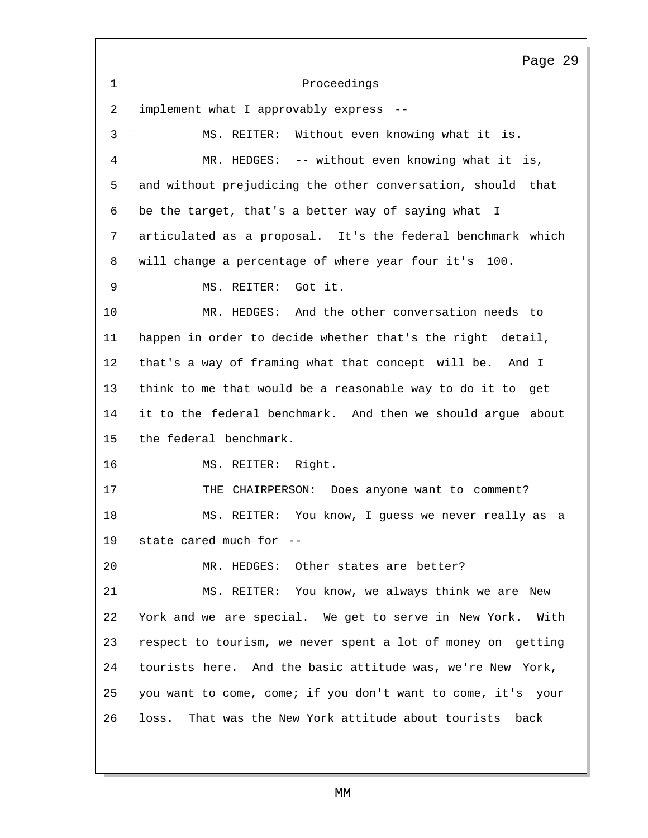Proceedings implement what I approvably express -- Page 29 MS. REITER: Without even knowing what it is. MR. HEDGES: -- without even knowing what it is, and without prejudicing the other conversation, should that be the target, that's a better way of saying what I articulated as a proposal. It's the federal benchmark which will change a percentage of where year four it's 100. MS. REITER: Got it. MR. HEDGES: And the other conversation needs to happen in order to decide whether that's the right detail, that's a way of framing what that concept will be. And I think to me that would be a reasonable way to do it to get it to the federal benchmark. And then we should argue about the federal benchmark. MS. REITER: Right. THE CHAIRPERSON: Does anyone want to comment? MS. REITER: You know, I guess we never really as a state cared much for -- MR. HEDGES: Other states are better? MS. REITER: You know, we always think we are New York and we are special. We get to serve in New York. With respect to tourism, we never spent a lot of money on getting tourists here. And the basic attitude was, we're New York, you want to come, come; if you don't want to come, it's your loss. That was the New York attitude about tourists back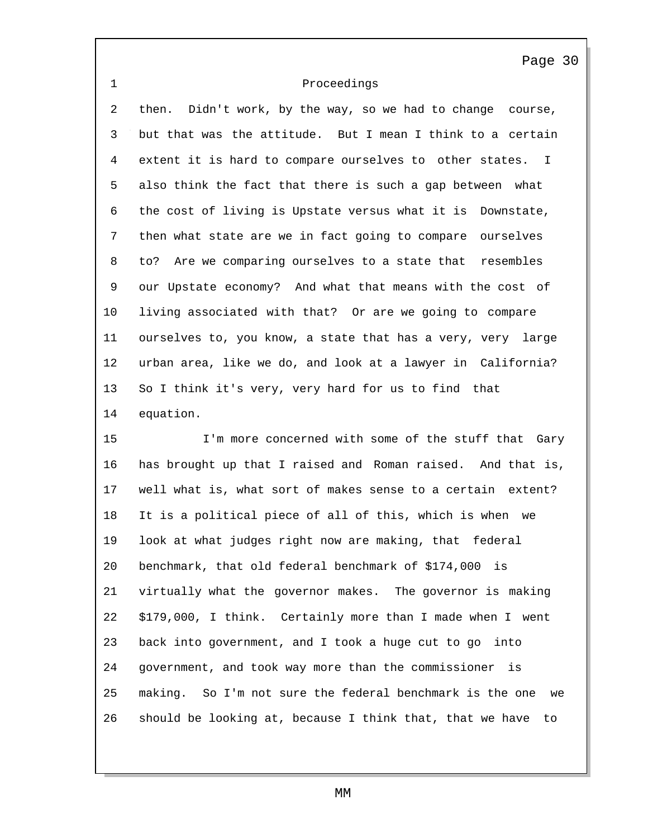## Proceedings

 then. Didn't work, by the way, so we had to change course, but that was the attitude. But I mean I think to a certain extent it is hard to compare ourselves to other states. I also think the fact that there is such a gap between what the cost of living is Upstate versus what it is Downstate, then what state are we in fact going to compare ourselves to? Are we comparing ourselves to a state that resembles our Upstate economy? And what that means with the cost of living associated with that? Or are we going to compare ourselves to, you know, a state that has a very, very large urban area, like we do, and look at a lawyer in California? So I think it's very, very hard for us to find that equation.

 I'm more concerned with some of the stuff that Gary has brought up that I raised and Roman raised. And that is, well what is, what sort of makes sense to a certain extent? It is a political piece of all of this, which is when we look at what judges right now are making, that federal benchmark, that old federal benchmark of \$174,000 is virtually what the governor makes. The governor is making \$179,000, I think. Certainly more than I made when I went back into government, and I took a huge cut to go into government, and took way more than the commissioner is making. So I'm not sure the federal benchmark is the one we should be looking at, because I think that, that we have to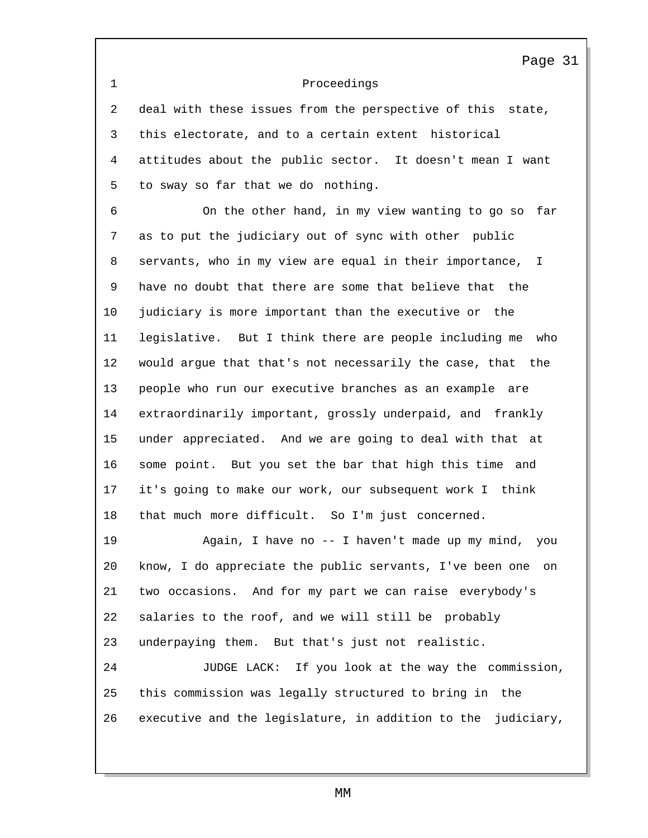Proceedings

 deal with these issues from the perspective of this state, this electorate, and to a certain extent historical attitudes about the public sector. It doesn't mean I want to sway so far that we do nothing.

 On the other hand, in my view wanting to go so far as to put the judiciary out of sync with other public servants, who in my view are equal in their importance, I have no doubt that there are some that believe that the judiciary is more important than the executive or the legislative. But I think there are people including me who would argue that that's not necessarily the case, that the people who run our executive branches as an example are extraordinarily important, grossly underpaid, and frankly under appreciated. And we are going to deal with that at some point. But you set the bar that high this time and it's going to make our work, our subsequent work I think that much more difficult. So I'm just concerned.

 Again, I have no -- I haven't made up my mind, you know, I do appreciate the public servants, I've been one on two occasions. And for my part we can raise everybody's salaries to the roof, and we will still be probably underpaying them. But that's just not realistic.

 JUDGE LACK: If you look at the way the commission, this commission was legally structured to bring in the executive and the legislature, in addition to the judiciary,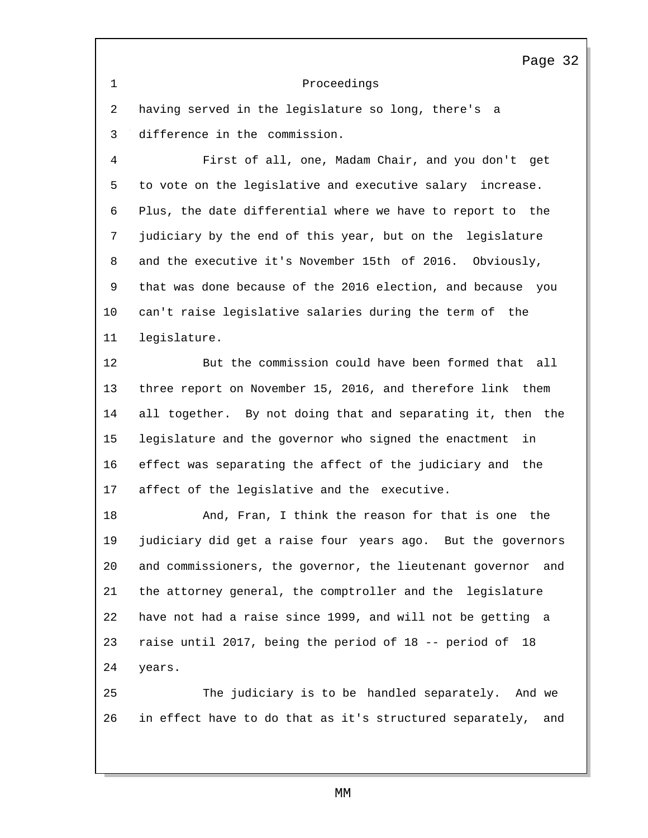### Proceedings

 having served in the legislature so long, there's a difference in the commission.

 First of all, one, Madam Chair, and you don't get to vote on the legislative and executive salary increase. Plus, the date differential where we have to report to the judiciary by the end of this year, but on the legislature and the executive it's November 15th of 2016. Obviously, that was done because of the 2016 election, and because you can't raise legislative salaries during the term of the legislature.

 But the commission could have been formed that all three report on November 15, 2016, and therefore link them all together. By not doing that and separating it, then the legislature and the governor who signed the enactment in effect was separating the affect of the judiciary and the affect of the legislative and the executive.

 And, Fran, I think the reason for that is one the judiciary did get a raise four years ago. But the governors and commissioners, the governor, the lieutenant governor and the attorney general, the comptroller and the legislature have not had a raise since 1999, and will not be getting a raise until 2017, being the period of 18 -- period of 18 years.

 The judiciary is to be handled separately. And we in effect have to do that as it's structured separately, and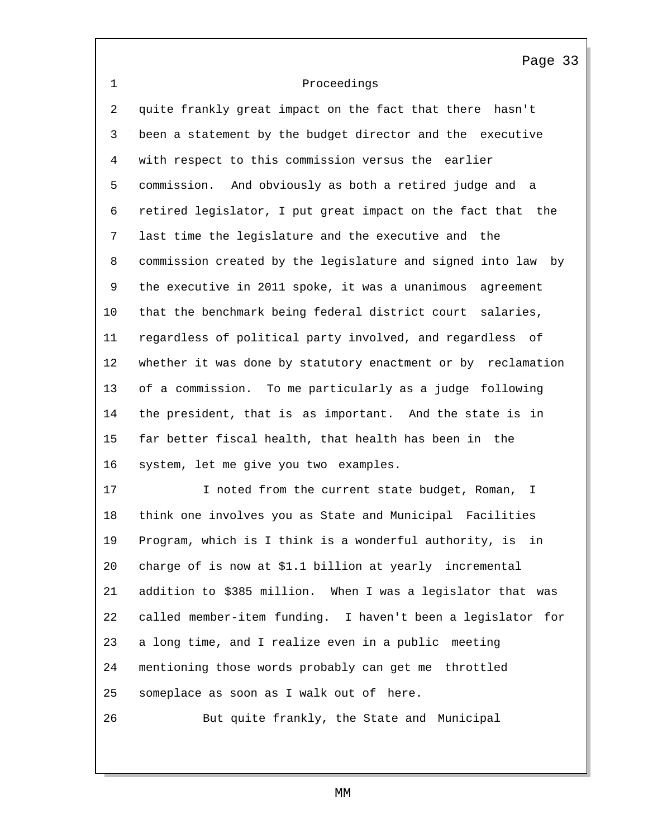# Proceedings

 quite frankly great impact on the fact that there hasn't been a statement by the budget director and the executive with respect to this commission versus the earlier commission. And obviously as both a retired judge and a retired legislator, I put great impact on the fact that the last time the legislature and the executive and the commission created by the legislature and signed into law by the executive in 2011 spoke, it was a unanimous agreement that the benchmark being federal district court salaries, regardless of political party involved, and regardless of whether it was done by statutory enactment or by reclamation of a commission. To me particularly as a judge following the president, that is as important. And the state is in far better fiscal health, that health has been in the system, let me give you two examples.

17 I noted from the current state budget, Roman, I think one involves you as State and Municipal Facilities Program, which is I think is a wonderful authority, is in charge of is now at \$1.1 billion at yearly incremental addition to \$385 million. When I was a legislator that was called member-item funding. I haven't been a legislator for a long time, and I realize even in a public meeting mentioning those words probably can get me throttled someplace as soon as I walk out of here.

But quite frankly, the State and Municipal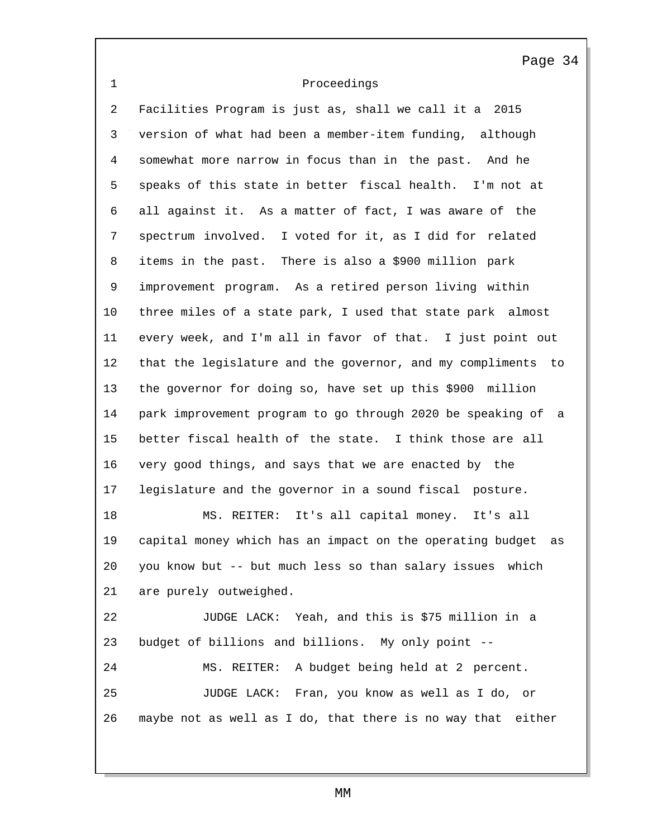Proceedings

 Facilities Program is just as, shall we call it a 2015 version of what had been a member-item funding, although somewhat more narrow in focus than in the past. And he speaks of this state in better fiscal health. I'm not at all against it. As a matter of fact, I was aware of the spectrum involved. I voted for it, as I did for related items in the past. There is also a \$900 million park improvement program. As a retired person living within three miles of a state park, I used that state park almost every week, and I'm all in favor of that. I just point out that the legislature and the governor, and my compliments to the governor for doing so, have set up this \$900 million park improvement program to go through 2020 be speaking of a better fiscal health of the state. I think those are all very good things, and says that we are enacted by the legislature and the governor in a sound fiscal posture. MS. REITER: It's all capital money. It's all capital money which has an impact on the operating budget as you know but -- but much less so than salary issues which are purely outweighed. JUDGE LACK: Yeah, and this is \$75 million in a budget of billions and billions. My only point -- MS. REITER: A budget being held at 2 percent. JUDGE LACK: Fran, you know as well as I do, or maybe not as well as I do, that there is no way that either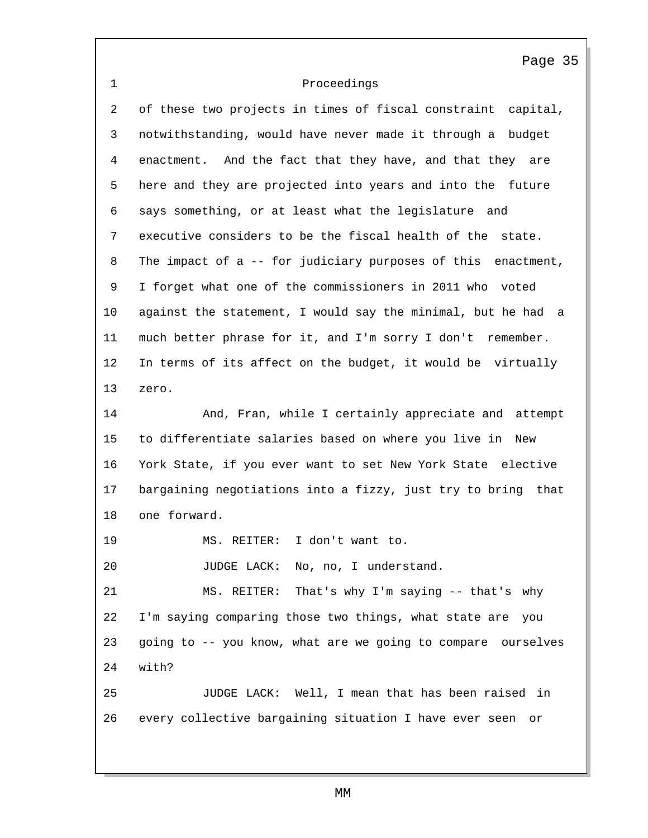# 1 Proceedings

2 of these two projects in times of fiscal constraint capital, 3 notwithstanding, would have never made it through a budget 4 enactment. And the fact that they have, and that they are 5 here and they are projected into years and into the future 6 says something, or at least what the legislature and 7 executive considers to be the fiscal health of the state. 8 The impact of a -- for judiciary purposes of this enactment, 9 I forget what one of the commissioners in 2011 who voted 10 against the statement, I would say the minimal, but he had a 11 much better phrase for it, and I'm sorry I don't remember. 12 In terms of its affect on the budget, it would be virtually 13 zero. 14 And, Fran, while I certainly appreciate and attempt 15 to differentiate salaries based on where you live in New 16 York State, if you ever want to set New York State elective 17 bargaining negotiations into a fizzy, just try to bring that 18 one forward. 19 MS. REITER: I don't want to. 20 JUDGE LACK: No, no, I understand. 21 MS. REITER: That's why I'm saying -- that's why 22 I'm saying comparing those two things, what state are you 23 going to -- you know, what are we going to compare ourselves 24 with? 25 JUDGE LACK: Well, I mean that has been raised in 26 every collective bargaining situation I have ever seen or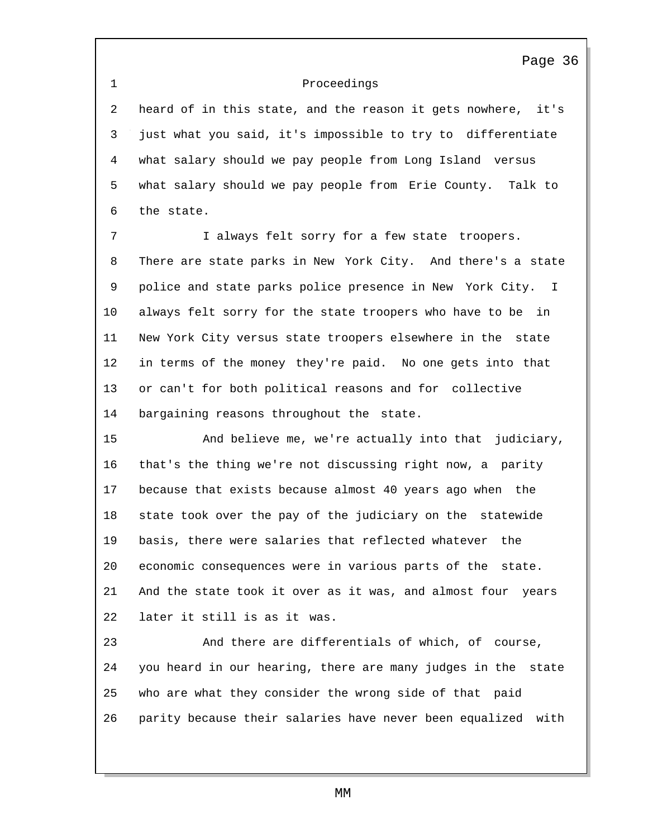1 Proceedings

2 heard of in this state, and the reason it gets nowhere, it's 3 just what you said, it's impossible to try to differentiate 4 what salary should we pay people from Long Island versus 5 what salary should we pay people from Erie County. Talk to 6 the state.

7 I always felt sorry for a few state troopers. 8 There are state parks in New York City. And there's a state 9 police and state parks police presence in New York City. I 10 always felt sorry for the state troopers who have to be in 11 New York City versus state troopers elsewhere in the state 12 in terms of the money they're paid. No one gets into that 13 or can't for both political reasons and for collective 14 bargaining reasons throughout the state.

15 And believe me, we're actually into that judiciary, 16 that's the thing we're not discussing right now, a parity 17 because that exists because almost 40 years ago when the 18 state took over the pay of the judiciary on the statewide 19 basis, there were salaries that reflected whatever the 20 economic consequences were in various parts of the state. 21 And the state took it over as it was, and almost four years 22 later it still is as it was.

23 And there are differentials of which, of course, 24 you heard in our hearing, there are many judges in the state 25 who are what they consider the wrong side of that paid 26 parity because their salaries have never been equalized with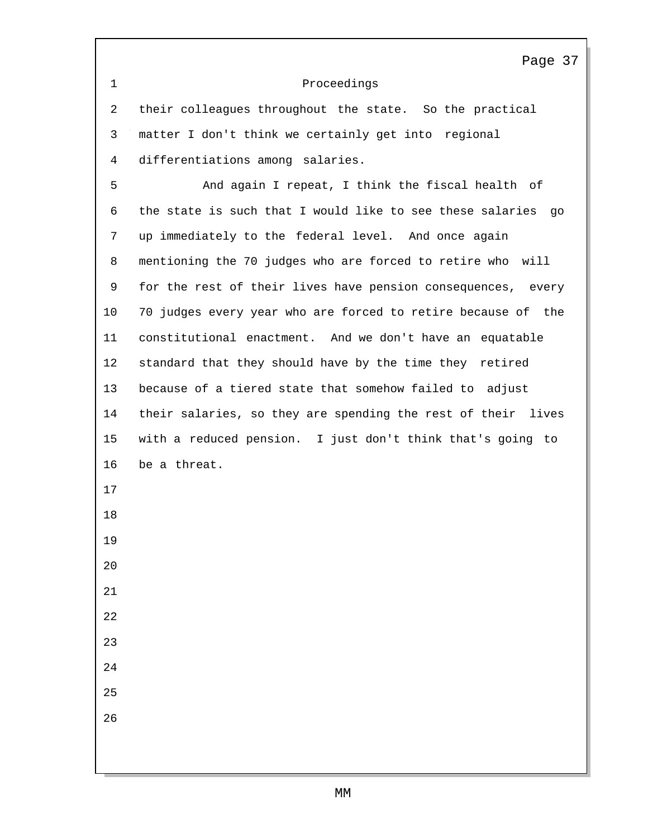|             | Page 37                                                      |
|-------------|--------------------------------------------------------------|
| $\mathbf 1$ | Proceedings                                                  |
| 2           | their colleagues throughout the state. So the practical      |
| 3           | matter I don't think we certainly get into regional          |
| 4           | differentiations among salaries.                             |
| 5           | And again I repeat, I think the fiscal health of             |
| 6           | the state is such that I would like to see these salaries go |
| 7           | up immediately to the federal level. And once again          |
| 8           | mentioning the 70 judges who are forced to retire who will   |
| 9           | for the rest of their lives have pension consequences, every |
| 10          | 70 judges every year who are forced to retire because of the |
| 11          | constitutional enactment. And we don't have an equatable     |
| 12          | standard that they should have by the time they retired      |
| 13          | because of a tiered state that somehow failed to adjust      |
| 14          | their salaries, so they are spending the rest of their lives |
| 15          | with a reduced pension. I just don't think that's going to   |
| 16          | be a threat.                                                 |
| 17          |                                                              |
| 18          |                                                              |
| 19          |                                                              |
| 20          |                                                              |
| 21          |                                                              |
| 22          |                                                              |
| 23          |                                                              |
| 24          |                                                              |
| 25          |                                                              |
| 26          |                                                              |
|             |                                                              |
|             |                                                              |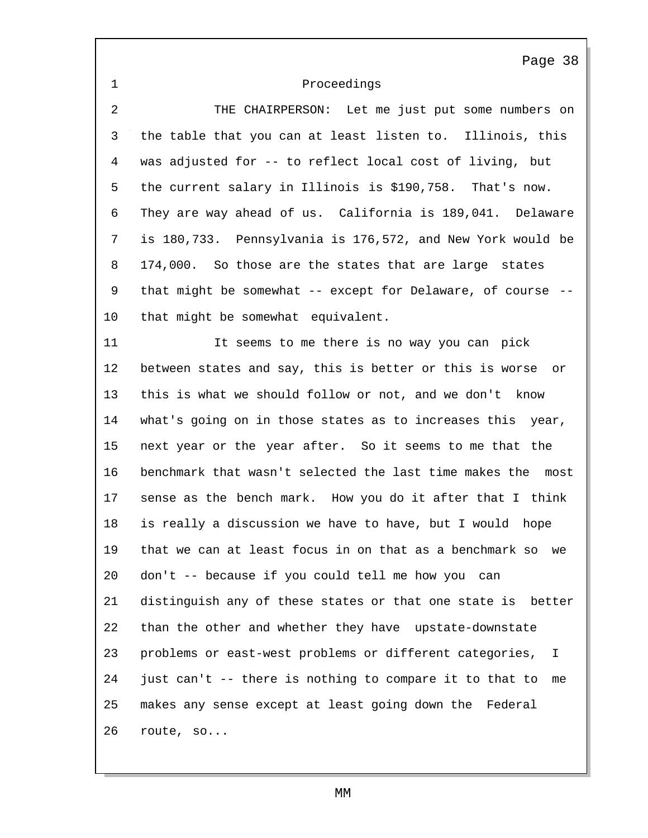| $\mathbf 1$    | Proceedings                                                    |
|----------------|----------------------------------------------------------------|
| $\overline{2}$ | THE CHAIRPERSON: Let me just put some numbers on               |
| 3              | the table that you can at least listen to. Illinois, this      |
| $\overline{4}$ | was adjusted for -- to reflect local cost of living, but       |
| 5              | the current salary in Illinois is \$190,758. That's now.       |
| 6              | They are way ahead of us. California is 189,041. Delaware      |
| 7              | is 180,733. Pennsylvania is 176,572, and New York would be     |
| 8              | 174,000. So those are the states that are large states         |
| 9              | that might be somewhat -- except for Delaware, of course --    |
| 10             | that might be somewhat equivalent.                             |
| 11             | It seems to me there is no way you can pick                    |
| 12             | between states and say, this is better or this is worse<br>or  |
| 13             | this is what we should follow or not, and we don't know        |
| 14             | what's going on in those states as to increases this year,     |
| 15             | next year or the year after. So it seems to me that the        |
| 16             | benchmark that wasn't selected the last time makes the<br>most |
| 17             | sense as the bench mark. How you do it after that I think      |
| 18             | is really a discussion we have to have, but I would<br>hope    |
| 19             | that we can at least focus in on that as a benchmark so<br>we  |
| 20             | don't -- because if you could tell me how you can              |
| 21             | distinguish any of these states or that one state is better    |
| 22             | than the other and whether they have upstate-downstate         |
| 23             | problems or east-west problems or different categories, I      |
| 24             | just can't -- there is nothing to compare it to that to<br>me  |
| 25             | makes any sense except at least going down the Federal         |
| 26             | route, so                                                      |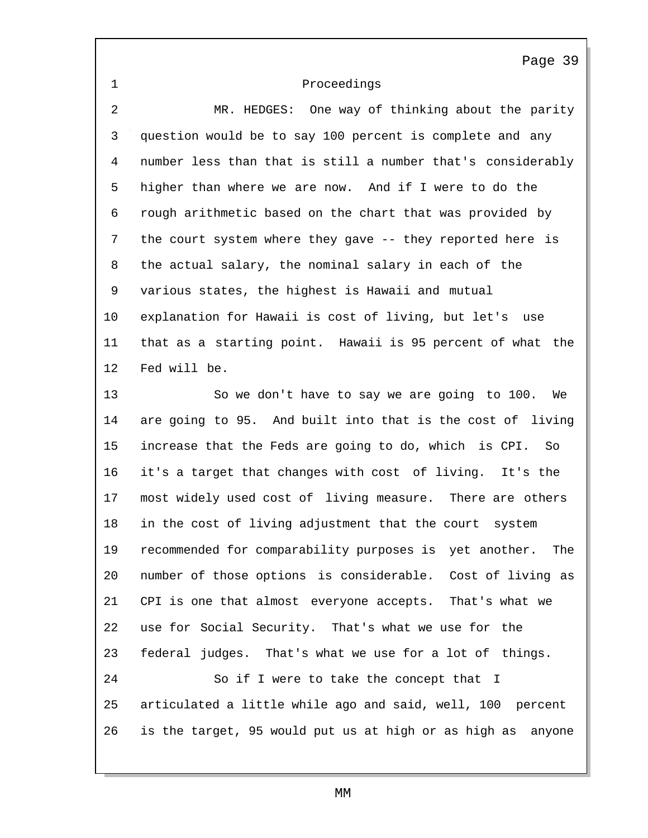| $\mathbf 1$ | Proceedings                                                   |
|-------------|---------------------------------------------------------------|
| 2           | MR. HEDGES: One way of thinking about the parity              |
| 3           | question would be to say 100 percent is complete and any      |
| 4           | number less than that is still a number that's considerably   |
| 5           | higher than where we are now. And if I were to do the         |
| 6           | rough arithmetic based on the chart that was provided by      |
| 7           | the court system where they gave -- they reported here is     |
| 8           | the actual salary, the nominal salary in each of the          |
| 9           | various states, the highest is Hawaii and mutual              |
| 10          | explanation for Hawaii is cost of living, but let's use       |
| 11          | that as a starting point. Hawaii is 95 percent of what the    |
| 12          | Fed will be.                                                  |
| 13          | So we don't have to say we are going to 100.<br>We            |
| 14          | are going to 95. And built into that is the cost of living    |
| 15          | increase that the Feds are going to do, which is CPI. So      |
| 16          | it's a target that changes with cost of living. It's the      |
| 17          | most widely used cost of living measure. There are others     |
| 18          | in the cost of living adjustment that the court system        |
| 19          | recommended for comparability purposes is yet another.<br>The |
| 20          | number of those options is considerable. Cost of living as    |
| 21          | CPI is one that almost everyone accepts. That's what we       |
| 22          | use for Social Security. That's what we use for the           |
| 23          | federal judges. That's what we use for a lot of things.       |
| 24          | So if I were to take the concept that I                       |
| 25          | articulated a little while ago and said, well, 100 percent    |
| 26          | is the target, 95 would put us at high or as high as anyone   |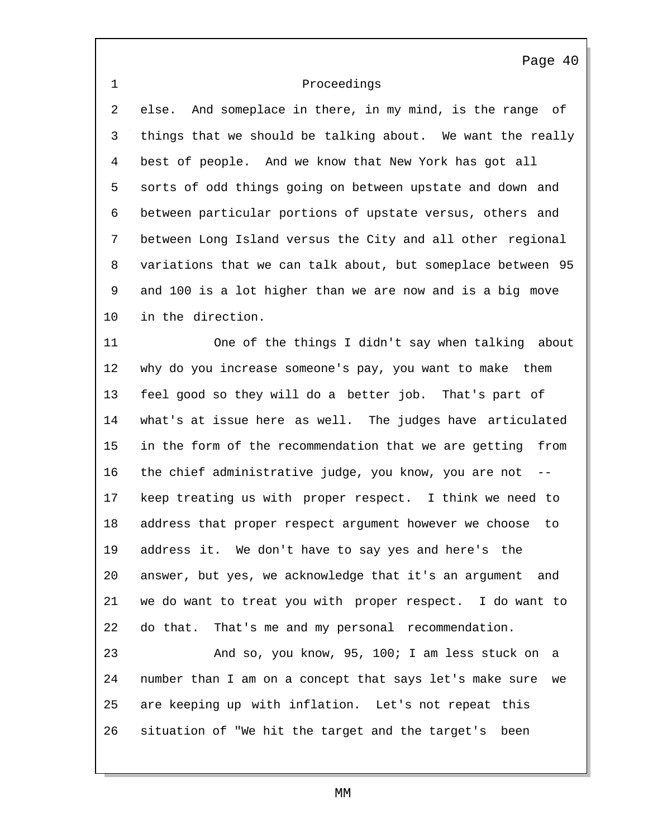## 1 Proceedings

2 else. And someplace in there, in my mind, is the range of 3 things that we should be talking about. We want the really 4 best of people. And we know that New York has got all 5 sorts of odd things going on between upstate and down and 6 between particular portions of upstate versus, others and 7 between Long Island versus the City and all other regional 8 variations that we can talk about, but someplace between 95 9 and 100 is a lot higher than we are now and is a big move 10 in the direction.

11 One of the things I didn't say when talking about 12 why do you increase someone's pay, you want to make them 13 feel good so they will do a better job. That's part of 14 what's at issue here as well. The judges have articulated 15 in the form of the recommendation that we are getting from 16 the chief administrative judge, you know, you are not 17 keep treating us with proper respect. I think we need to 18 address that proper respect argument however we choose to 19 address it. We don't have to say yes and here's the 20 answer, but yes, we acknowledge that it's an argument and 21 we do want to treat you with proper respect. I do want to 22 do that. That's me and my personal recommendation. 23 And so, you know, 95, 100; I am less stuck on a

24 number than I am on a concept that says let's make sure we 25 are keeping up with inflation. Let's not repeat this 26 situation of "We hit the target and the target's been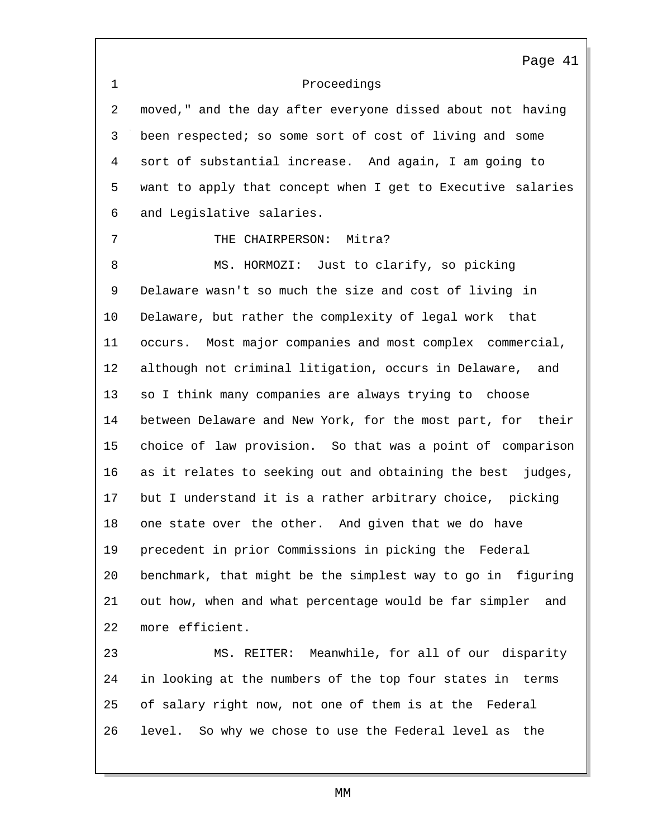1 Proceedings Page 41 2 moved," and the day after everyone dissed about not having 3 been respected; so some sort of cost of living and some 4 sort of substantial increase. And again, I am going to 5 want to apply that concept when I get to Executive salaries 6 and Legislative salaries. 7 THE CHAIRPERSON: Mitra? 8 MS. HORMOZI: Just to clarify, so picking 9 Delaware wasn't so much the size and cost of living in 10 Delaware, but rather the complexity of legal work that 11 occurs. Most major companies and most complex commercial, 12 although not criminal litigation, occurs in Delaware, and 13 so I think many companies are always trying to choose 14 between Delaware and New York, for the most part, for their 15 choice of law provision. So that was a point of comparison 16 as it relates to seeking out and obtaining the best judges, 17 but I understand it is a rather arbitrary choice, picking 18 one state over the other. And given that we do have 19 precedent in prior Commissions in picking the Federal 20 benchmark, that might be the simplest way to go in figuring 21 out how, when and what percentage would be far simpler and 22 more efficient. 23 MS. REITER: Meanwhile, for all of our disparity 24 in looking at the numbers of the top four states in terms 25 of salary right now, not one of them is at the Federal 26 level. So why we chose to use the Federal level as the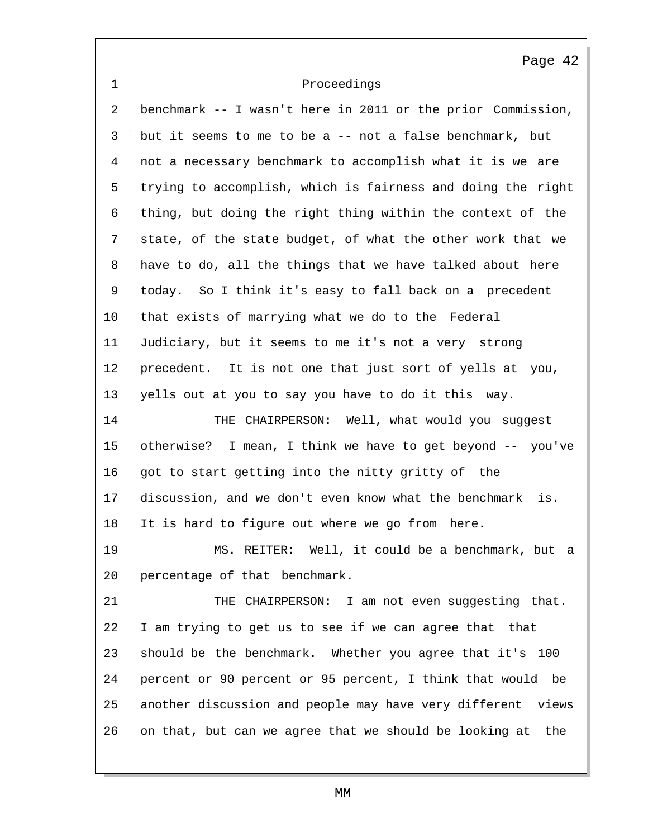1 Proceedings Page 42 2 benchmark -- I wasn't here in 2011 or the prior Commission, 3 but it seems to me to be a -- not a false benchmark, but 4 not a necessary benchmark to accomplish what it is we are 5 trying to accomplish, which is fairness and doing the right 6 thing, but doing the right thing within the context of the 7 state, of the state budget, of what the other work that we 8 have to do, all the things that we have talked about here 9 today. So I think it's easy to fall back on a precedent 10 that exists of marrying what we do to the Federal 11 Judiciary, but it seems to me it's not a very strong 12 precedent. It is not one that just sort of yells at you, 13 yells out at you to say you have to do it this way. 14 THE CHAIRPERSON: Well, what would you suggest 15 otherwise? I mean, I think we have to get beyond -- you've 16 got to start getting into the nitty gritty of the 17 discussion, and we don't even know what the benchmark is. 18 It is hard to figure out where we go from here. 19 MS. REITER: Well, it could be a benchmark, but a 20 percentage of that benchmark. 21 THE CHAIRPERSON: I am not even suggesting that. 22 I am trying to get us to see if we can agree that that 23 should be the benchmark. Whether you agree that it's 100 24 percent or 90 percent or 95 percent, I think that would be 25 another discussion and people may have very different views 26 on that, but can we agree that we should be looking at the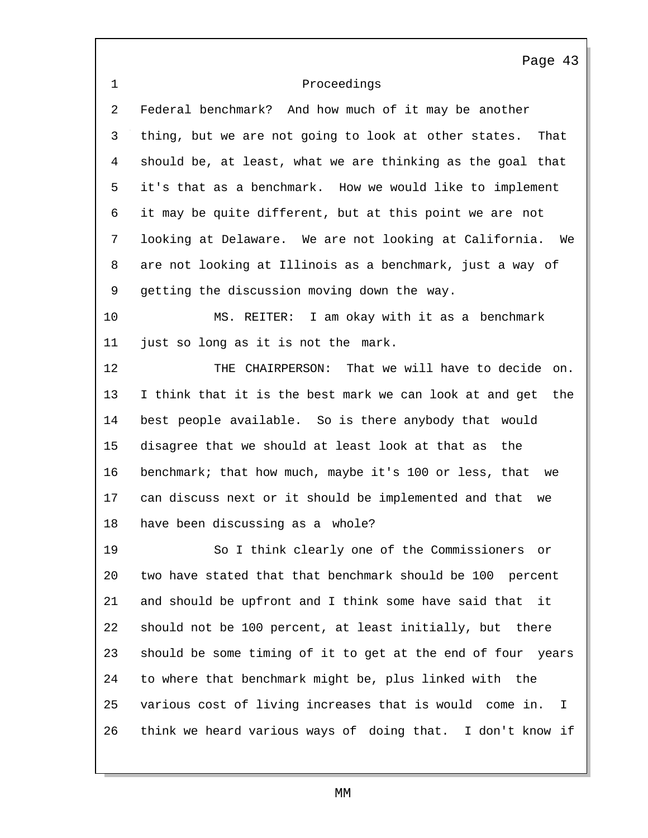1 Proceedings Page 43 2 Federal benchmark? And how much of it may be another 3 thing, but we are not going to look at other states. That 4 should be, at least, what we are thinking as the goal that 5 it's that as a benchmark. How we would like to implement 6 it may be quite different, but at this point we are not 7 looking at Delaware. We are not looking at California. We 8 are not looking at Illinois as a benchmark, just a way of 9 getting the discussion moving down the way. 10 MS. REITER: I am okay with it as a benchmark 11 just so long as it is not the mark. 12 THE CHAIRPERSON: That we will have to decide on. 13 I think that it is the best mark we can look at and get the 14 best people available. So is there anybody that would 15 disagree that we should at least look at that as the 16 benchmark; that how much, maybe it's 100 or less, that we 17 can discuss next or it should be implemented and that we 18 have been discussing as a whole? 19 So I think clearly one of the Commissioners or 20 two have stated that that benchmark should be 100 percent 21 and should be upfront and I think some have said that it 22 should not be 100 percent, at least initially, but there 23 should be some timing of it to get at the end of four years 24 to where that benchmark might be, plus linked with the 25 various cost of living increases that is would come in. I 26 think we heard various ways of doing that. I don't know if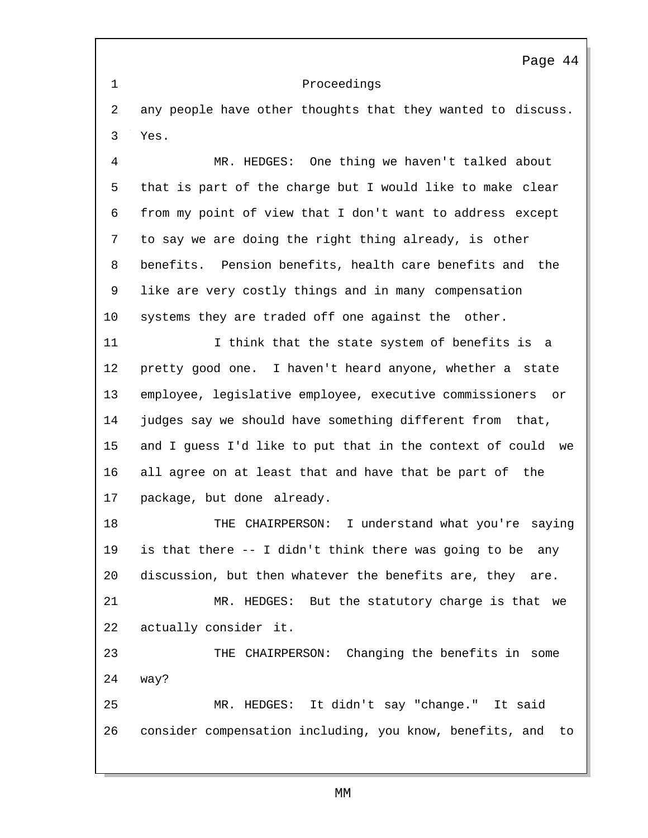1 Proceedings

2 any people have other thoughts that they wanted to discuss. 3 Yes.

4 MR. HEDGES: One thing we haven't talked about 5 that is part of the charge but I would like to make clear 6 from my point of view that I don't want to address except 7 to say we are doing the right thing already, is other 8 benefits. Pension benefits, health care benefits and the 9 like are very costly things and in many compensation 10 systems they are traded off one against the other.

11 11 I think that the state system of benefits is a 12 pretty good one. I haven't heard anyone, whether a state 13 employee, legislative employee, executive commissioners or 14 judges say we should have something different from that, 15 and I guess I'd like to put that in the context of could we 16 all agree on at least that and have that be part of the 17 package, but done already.

18 THE CHAIRPERSON: I understand what you're saying 19 is that there -- I didn't think there was going to be any 20 discussion, but then whatever the benefits are, they are.

21 MR. HEDGES: But the statutory charge is that we 22 actually consider it.

23 THE CHAIRPERSON: Changing the benefits in some 24 way? 25 MR. HEDGES: It didn't say "change." It said

26 consider compensation including, you know, benefits, and to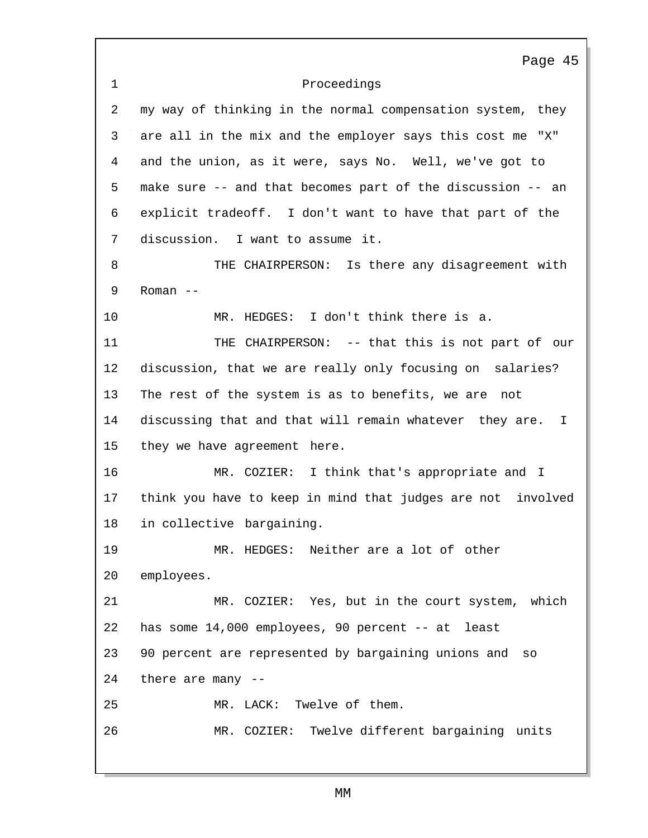|                | Page 45                                                       |
|----------------|---------------------------------------------------------------|
| $\mathbf{1}$   | Proceedings                                                   |
| $\overline{a}$ | my way of thinking in the normal compensation system, they    |
| 3              | are all in the mix and the employer says this cost me "X"     |
| 4              | and the union, as it were, says No. Well, we've got to        |
| 5              | make sure -- and that becomes part of the discussion -- an    |
| 6              | explicit tradeoff. I don't want to have that part of the      |
| 7              | discussion. I want to assume it.                              |
| 8              | THE CHAIRPERSON: Is there any disagreement with               |
| 9              | Roman $--$                                                    |
| 10             | MR. HEDGES: I don't think there is a.                         |
| 11             | THE CHAIRPERSON: -- that this is not part of our              |
| 12             | discussion, that we are really only focusing on salaries?     |
| 13             | The rest of the system is as to benefits, we are not          |
| 14             | discussing that and that will remain whatever they are.<br>I. |
| 15             | they we have agreement here.                                  |
| 16             | MR. COZIER: I think that's appropriate and I                  |
| 17             | think you have to keep in mind that judges are not involved   |
| 18             | in collective bargaining.                                     |
| 19             | MR. HEDGES: Neither are a lot of other                        |
| 20             | employees.                                                    |
| 21             | MR. COZIER: Yes, but in the court system, which               |
| 22             | has some 14,000 employees, 90 percent -- at least             |
| 23             | 90 percent are represented by bargaining unions and so        |
| 24             | there are many --                                             |
| 25             | MR. LACK: Twelve of them.                                     |
| 26             | MR. COZIER: Twelve different bargaining units                 |
|                |                                                               |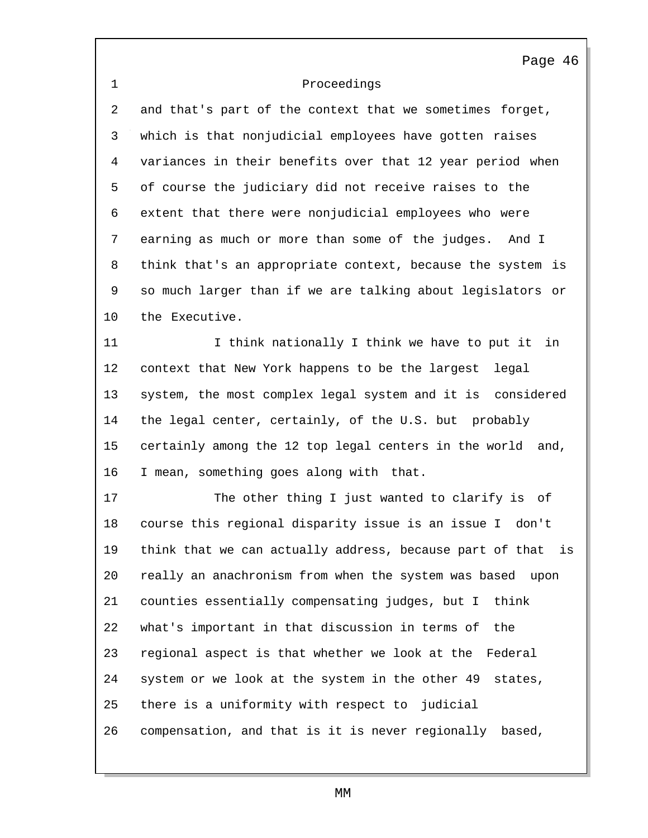1 Proceedings Page 46 2 and that's part of the context that we sometimes forget, 3 which is that nonjudicial employees have gotten raises 4 variances in their benefits over that 12 year period when 5 of course the judiciary did not receive raises to the 6 extent that there were nonjudicial employees who were 7 earning as much or more than some of the judges. And I 8 think that's an appropriate context, because the system is 9 so much larger than if we are talking about legislators or 10 the Executive. 11 I think nationally I think we have to put it in 12 context that New York happens to be the largest legal 13 system, the most complex legal system and it is considered 14 the legal center, certainly, of the U.S. but probably 15 certainly among the 12 top legal centers in the world and, 16 I mean, something goes along with that. 17 The other thing I just wanted to clarify is of 18 course this regional disparity issue is an issue I don't 19 think that we can actually address, because part of that is 20 really an anachronism from when the system was based upon 21 counties essentially compensating judges, but I think 22 what's important in that discussion in terms of the 23 regional aspect is that whether we look at the Federal 24 system or we look at the system in the other 49 states, 25 there is a uniformity with respect to judicial 26 compensation, and that is it is never regionally based,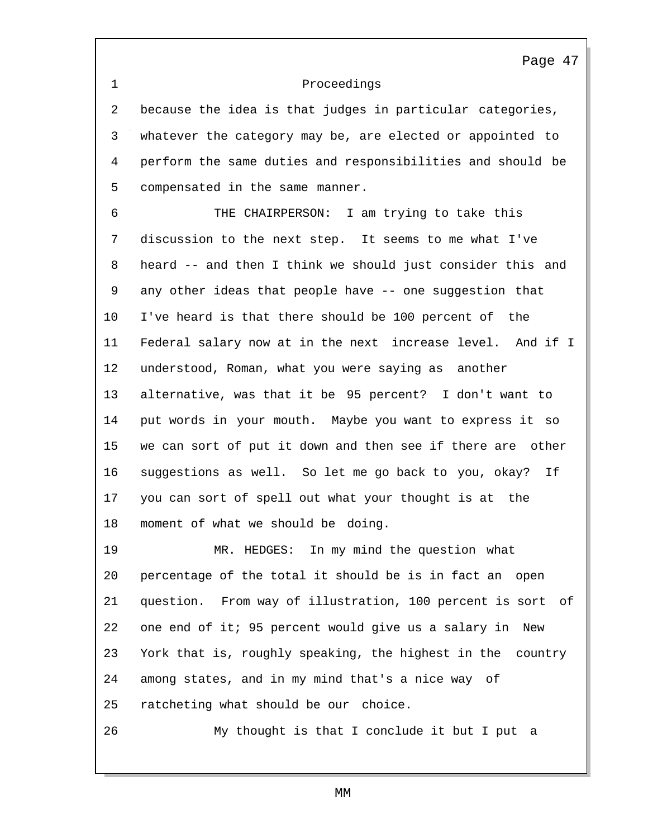1 Proceedings

2 because the idea is that judges in particular categories, 3 whatever the category may be, are elected or appointed to 4 perform the same duties and responsibilities and should be 5 compensated in the same manner.

6 THE CHAIRPERSON: I am trying to take this 7 discussion to the next step. It seems to me what I've 8 heard -- and then I think we should just consider this and 9 any other ideas that people have -- one suggestion that 10 I've heard is that there should be 100 percent of the 11 Federal salary now at in the next increase level. And if I 12 understood, Roman, what you were saying as another 13 alternative, was that it be 95 percent? I don't want to 14 put words in your mouth. Maybe you want to express it so 15 we can sort of put it down and then see if there are other 16 suggestions as well. So let me go back to you, okay? If 17 you can sort of spell out what your thought is at the 18 moment of what we should be doing.

19 MR. HEDGES: In my mind the question what 20 percentage of the total it should be is in fact an open 21 question. From way of illustration, 100 percent is sort of 22 one end of it; 95 percent would give us a salary in New 23 York that is, roughly speaking, the highest in the country 24 among states, and in my mind that's a nice way of 25 ratcheting what should be our choice.

26 My thought is that I conclude it but I put a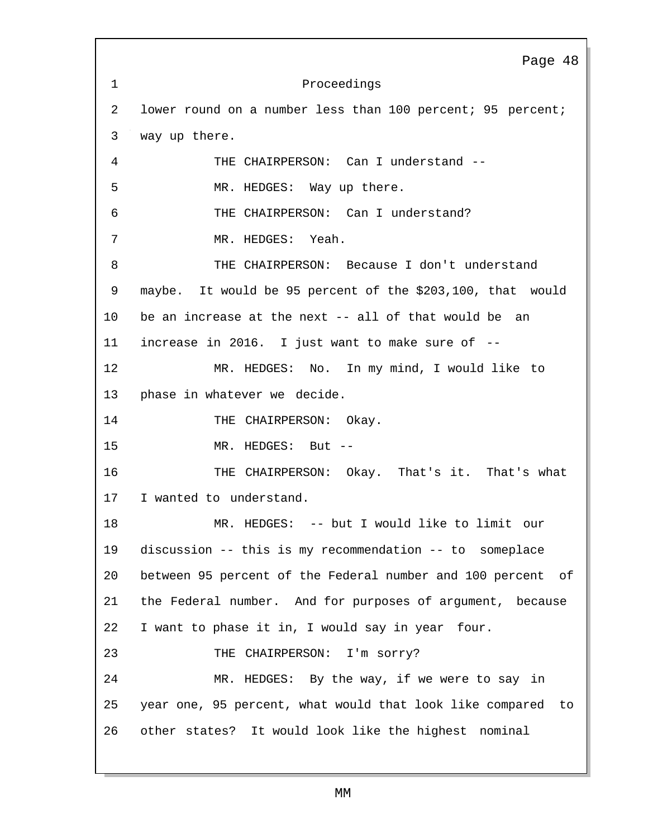1 Proceedings Page 48 2 lower round on a number less than 100 percent; 95 percent; 3 way up there. 4 THE CHAIRPERSON: Can I understand -- 5 MR. HEDGES: Way up there. 6 THE CHAIRPERSON: Can I understand? 7 MR. HEDGES: Yeah. 8 THE CHAIRPERSON: Because I don't understand 9 maybe. It would be 95 percent of the \$203,100, that would 10 be an increase at the next -- all of that would be an 11 increase in 2016. I just want to make sure of -- 12 MR. HEDGES: No. In my mind, I would like to 13 phase in whatever we decide. 14 THE CHAIRPERSON: Okay. 15 MR. HEDGES: But -- 16 THE CHAIRPERSON: Okay. That's it. That's what 17 I wanted to understand. 18 MR. HEDGES: -- but I would like to limit our 19 discussion -- this is my recommendation -- to someplace 20 between 95 percent of the Federal number and 100 percent of 21 the Federal number. And for purposes of argument, because 22 I want to phase it in, I would say in year four. 23 THE CHAIRPERSON: I'm sorry? 24 MR. HEDGES: By the way, if we were to say in 25 year one, 95 percent, what would that look like compared to 26 other states? It would look like the highest nominal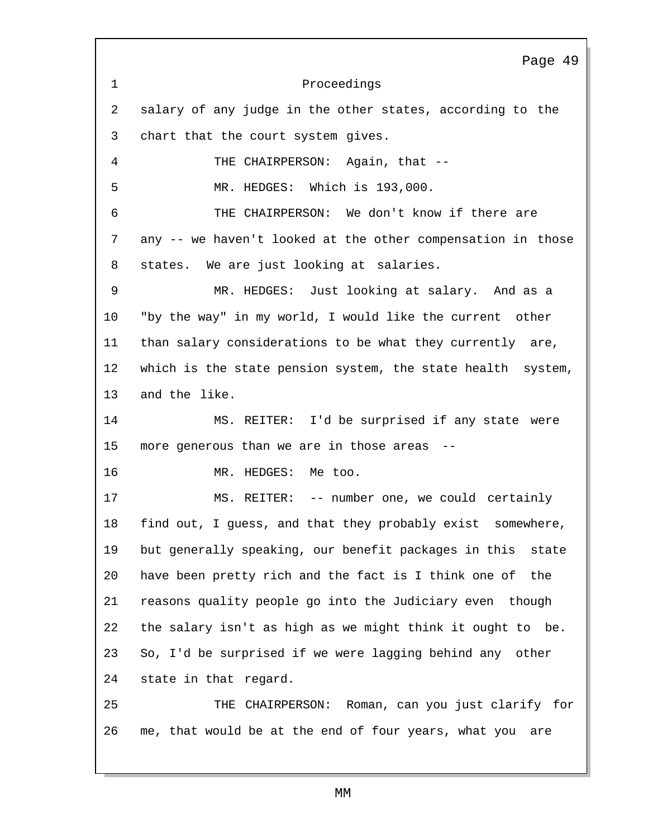1 Proceedings Page 49 2 salary of any judge in the other states, according to the 3 chart that the court system gives. 4 THE CHAIRPERSON: Again, that -- 5 MR. HEDGES: Which is 193,000. 6 THE CHAIRPERSON: We don't know if there are 7 any -- we haven't looked at the other compensation in those 8 states. We are just looking at salaries. 9 MR. HEDGES: Just looking at salary. And as a 10 "by the way" in my world, I would like the current other 11 than salary considerations to be what they currently are, 12 which is the state pension system, the state health system, 13 and the like. 14 MS. REITER: I'd be surprised if any state were 15 more generous than we are in those areas -- 16 MR. HEDGES: Me too. 17 MS. REITER: -- number one, we could certainly 18 find out, I guess, and that they probably exist somewhere, 19 but generally speaking, our benefit packages in this state 20 have been pretty rich and the fact is I think one of the 21 reasons quality people go into the Judiciary even though 22 the salary isn't as high as we might think it ought to be. 23 So, I'd be surprised if we were lagging behind any other 24 state in that regard. 25 THE CHAIRPERSON: Roman, can you just clarify for 26 me, that would be at the end of four years, what you are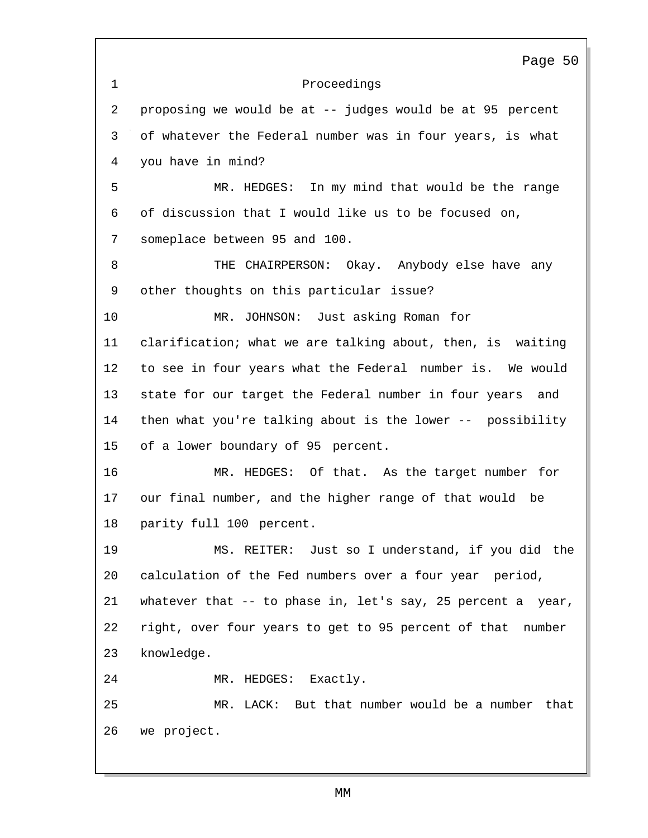1 Proceedings Page 50 2 proposing we would be at -- judges would be at 95 percent 3 of whatever the Federal number was in four years, is what 4 you have in mind? 5 MR. HEDGES: In my mind that would be the range 6 of discussion that I would like us to be focused on, 7 someplace between 95 and 100. 8 THE CHAIRPERSON: Okay. Anybody else have any 9 other thoughts on this particular issue? 10 MR. JOHNSON: Just asking Roman for 11 clarification; what we are talking about, then, is waiting 12 to see in four years what the Federal number is. We would 13 state for our target the Federal number in four years and 14 then what you're talking about is the lower -- possibility 15 of a lower boundary of 95 percent. 16 MR. HEDGES: Of that. As the target number for 17 our final number, and the higher range of that would be 18 parity full 100 percent. 19 MS. REITER: Just so I understand, if you did the 20 calculation of the Fed numbers over a four year period, 21 whatever that -- to phase in, let's say, 25 percent a year, 22 right, over four years to get to 95 percent of that number 23 knowledge. 24 MR. HEDGES: Exactly. 25 MR. LACK: But that number would be a number that 26 we project.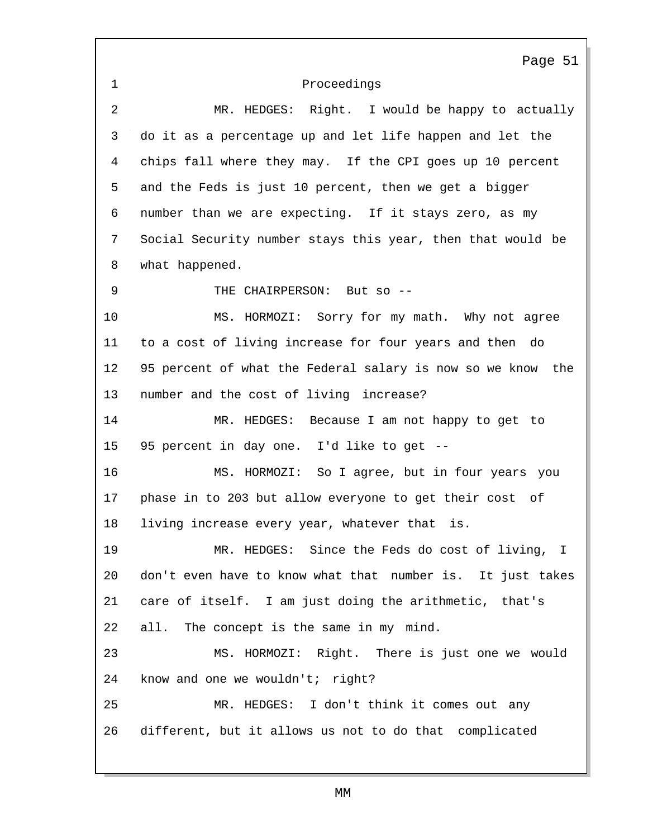1 Proceedings Page 51 2 MR. HEDGES: Right. I would be happy to actually 3 do it as a percentage up and let life happen and let the 4 chips fall where they may. If the CPI goes up 10 percent 5 and the Feds is just 10 percent, then we get a bigger 6 number than we are expecting. If it stays zero, as my 7 Social Security number stays this year, then that would be 8 what happened. 9 THE CHAIRPERSON: But so --10 MS. HORMOZI: Sorry for my math. Why not agree 11 to a cost of living increase for four years and then do 12 95 percent of what the Federal salary is now so we know the 13 number and the cost of living increase? 14 MR. HEDGES: Because I am not happy to get to 15 95 percent in day one. I'd like to get -- 16 MS. HORMOZI: So I agree, but in four years you 17 phase in to 203 but allow everyone to get their cost of 18 living increase every year, whatever that is. 19 MR. HEDGES: Since the Feds do cost of living, I 20 don't even have to know what that number is. It just takes 21 care of itself. I am just doing the arithmetic, that's 22 all. The concept is the same in my mind. 23 MS. HORMOZI: Right. There is just one we would 24 know and one we wouldn't; right? 25 MR. HEDGES: I don't think it comes out any 26 different, but it allows us not to do that complicated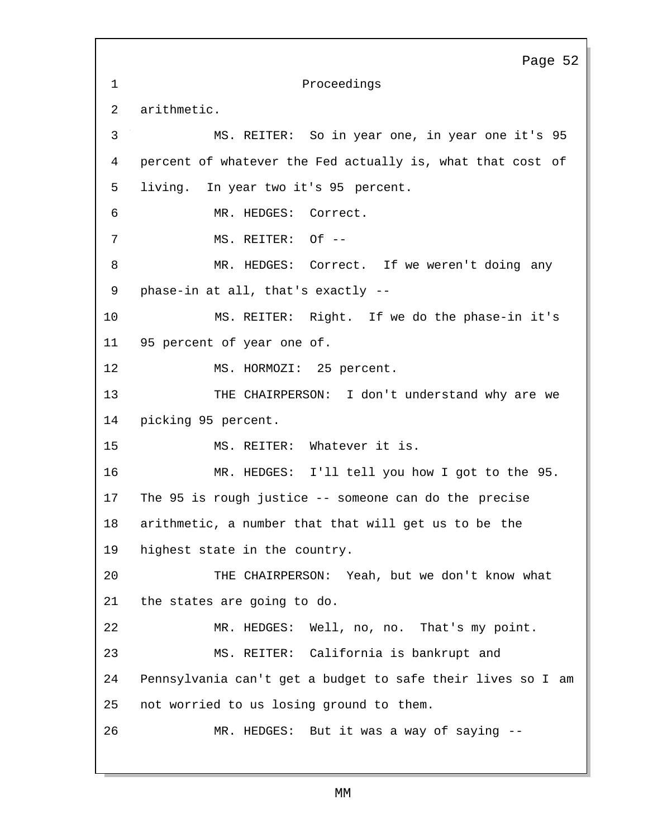1 Proceedings 2 arithmetic. Page 52 3 MS. REITER: So in year one, in year one it's 95 4 percent of whatever the Fed actually is, what that cost of 5 living. In year two it's 95 percent. 6 MR. HEDGES: Correct. 7 MS. REITER: Of --8 MR. HEDGES: Correct. If we weren't doing any 9 phase-in at all, that's exactly -- 10 MS. REITER: Right. If we do the phase-in it's 11 95 percent of year one of. 12 MS. HORMOZI: 25 percent. 13 THE CHAIRPERSON: I don't understand why are we 14 picking 95 percent. 15 MS. REITER: Whatever it is. 16 MR. HEDGES: I'll tell you how I got to the 95. 17 The 95 is rough justice -- someone can do the precise 18 arithmetic, a number that that will get us to be the 19 highest state in the country. 20 THE CHAIRPERSON: Yeah, but we don't know what 21 the states are going to do. 22 MR. HEDGES: Well, no, no. That's my point. 23 MS. REITER: California is bankrupt and 24 Pennsylvania can't get a budget to safe their lives so I am 25 not worried to us losing ground to them. 26 MR. HEDGES: But it was a way of saying --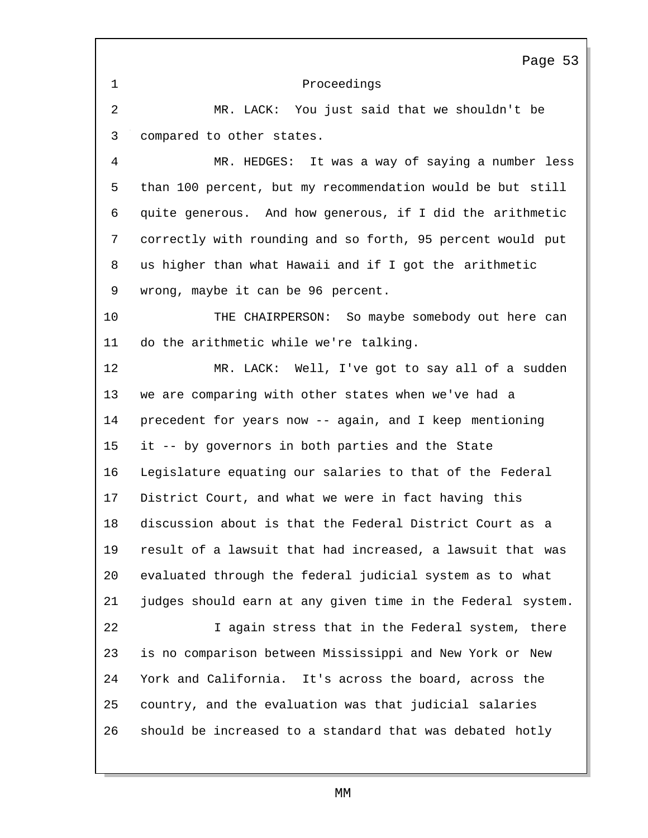Proceedings Page 53 MR. LACK: You just said that we shouldn't be compared to other states. MR. HEDGES: It was a way of saying a number less than 100 percent, but my recommendation would be but still quite generous. And how generous, if I did the arithmetic correctly with rounding and so forth, 95 percent would put us higher than what Hawaii and if I got the arithmetic wrong, maybe it can be 96 percent. THE CHAIRPERSON: So maybe somebody out here can do the arithmetic while we're talking. MR. LACK: Well, I've got to say all of a sudden we are comparing with other states when we've had a precedent for years now -- again, and I keep mentioning it -- by governors in both parties and the State Legislature equating our salaries to that of the Federal District Court, and what we were in fact having this discussion about is that the Federal District Court as a result of a lawsuit that had increased, a lawsuit that was evaluated through the federal judicial system as to what judges should earn at any given time in the Federal system. I again stress that in the Federal system, there is no comparison between Mississippi and New York or New York and California. It's across the board, across the country, and the evaluation was that judicial salaries should be increased to a standard that was debated hotly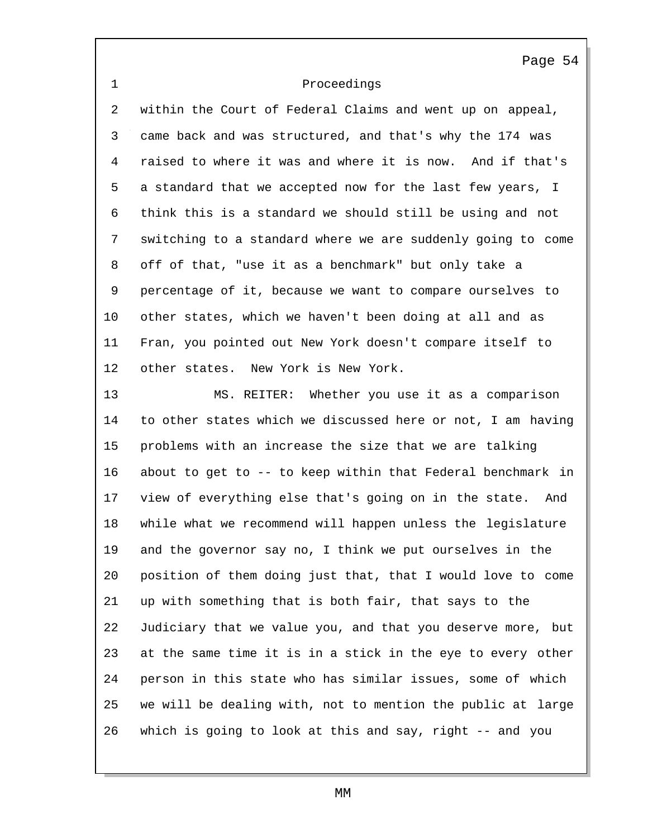| Proceedings |  |
|-------------|--|
|-------------|--|

 within the Court of Federal Claims and went up on appeal, came back and was structured, and that's why the 174 was raised to where it was and where it is now. And if that's a standard that we accepted now for the last few years, I think this is a standard we should still be using and not switching to a standard where we are suddenly going to come off of that, "use it as a benchmark" but only take a percentage of it, because we want to compare ourselves to other states, which we haven't been doing at all and as Fran, you pointed out New York doesn't compare itself to other states. New York is New York.

 MS. REITER: Whether you use it as a comparison to other states which we discussed here or not, I am having problems with an increase the size that we are talking about to get to -- to keep within that Federal benchmark in view of everything else that's going on in the state. And while what we recommend will happen unless the legislature and the governor say no, I think we put ourselves in the position of them doing just that, that I would love to come up with something that is both fair, that says to the Judiciary that we value you, and that you deserve more, but at the same time it is in a stick in the eye to every other person in this state who has similar issues, some of which we will be dealing with, not to mention the public at large which is going to look at this and say, right -- and you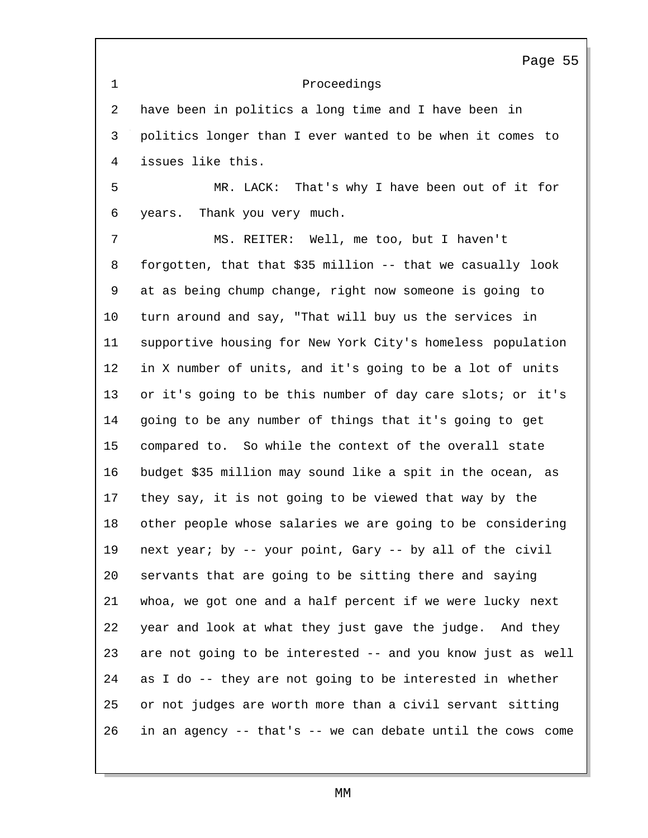Proceedings Page 55 have been in politics a long time and I have been in politics longer than I ever wanted to be when it comes to issues like this. MR. LACK: That's why I have been out of it for years. Thank you very much. MS. REITER: Well, me too, but I haven't forgotten, that that \$35 million -- that we casually look at as being chump change, right now someone is going to turn around and say, "That will buy us the services in supportive housing for New York City's homeless population in X number of units, and it's going to be a lot of units or it's going to be this number of day care slots; or it's going to be any number of things that it's going to get compared to. So while the context of the overall state budget \$35 million may sound like a spit in the ocean, as they say, it is not going to be viewed that way by the other people whose salaries we are going to be considering next year; by -- your point, Gary -- by all of the civil servants that are going to be sitting there and saying whoa, we got one and a half percent if we were lucky next year and look at what they just gave the judge. And they are not going to be interested -- and you know just as well as I do -- they are not going to be interested in whether or not judges are worth more than a civil servant sitting in an agency -- that's -- we can debate until the cows come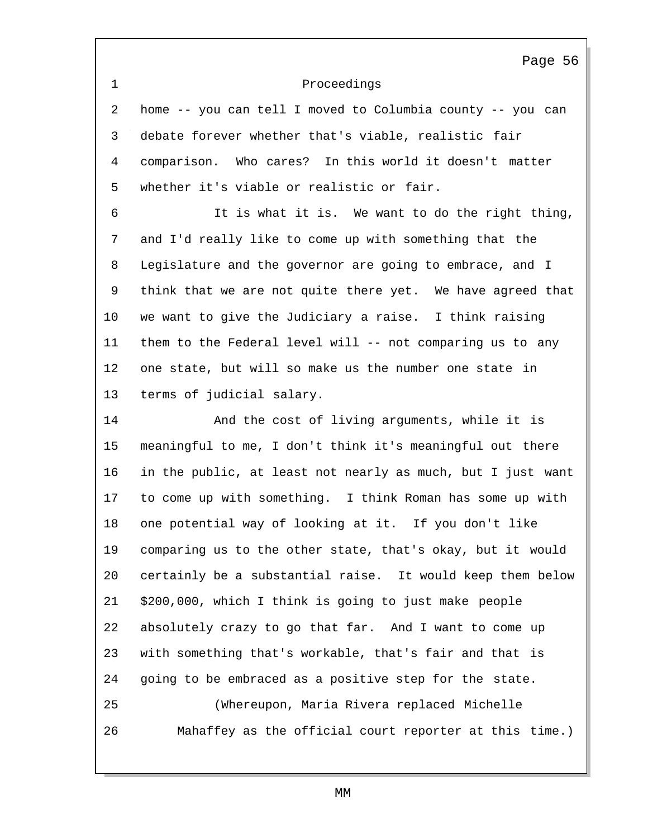Proceedings Page 56 home -- you can tell I moved to Columbia county -- you can debate forever whether that's viable, realistic fair comparison. Who cares? In this world it doesn't matter whether it's viable or realistic or fair. It is what it is. We want to do the right thing, and I'd really like to come up with something that the Legislature and the governor are going to embrace, and I think that we are not quite there yet. We have agreed that we want to give the Judiciary a raise. I think raising them to the Federal level will -- not comparing us to any one state, but will so make us the number one state in terms of judicial salary. And the cost of living arguments, while it is meaningful to me, I don't think it's meaningful out there in the public, at least not nearly as much, but I just want to come up with something. I think Roman has some up with one potential way of looking at it. If you don't like comparing us to the other state, that's okay, but it would certainly be a substantial raise. It would keep them below \$200,000, which I think is going to just make people absolutely crazy to go that far. And I want to come up with something that's workable, that's fair and that is going to be embraced as a positive step for the state. (Whereupon, Maria Rivera replaced Michelle Mahaffey as the official court reporter at this time.)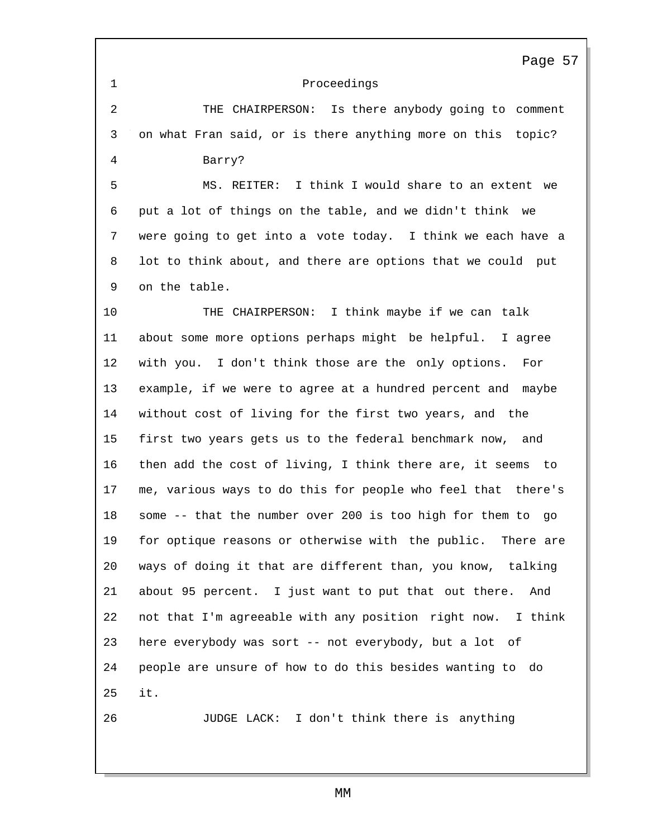Proceedings Page 57 THE CHAIRPERSON: Is there anybody going to comment on what Fran said, or is there anything more on this topic? Barry? MS. REITER: I think I would share to an extent we put a lot of things on the table, and we didn't think we were going to get into a vote today. I think we each have a lot to think about, and there are options that we could put on the table. THE CHAIRPERSON: I think maybe if we can talk about some more options perhaps might be helpful. I agree with you. I don't think those are the only options. For example, if we were to agree at a hundred percent and maybe without cost of living for the first two years, and the first two years gets us to the federal benchmark now, and then add the cost of living, I think there are, it seems to me, various ways to do this for people who feel that there's some -- that the number over 200 is too high for them to go for optique reasons or otherwise with the public. There are ways of doing it that are different than, you know, talking about 95 percent. I just want to put that out there. And not that I'm agreeable with any position right now. I think here everybody was sort -- not everybody, but a lot of people are unsure of how to do this besides wanting to do it. JUDGE LACK: I don't think there is anything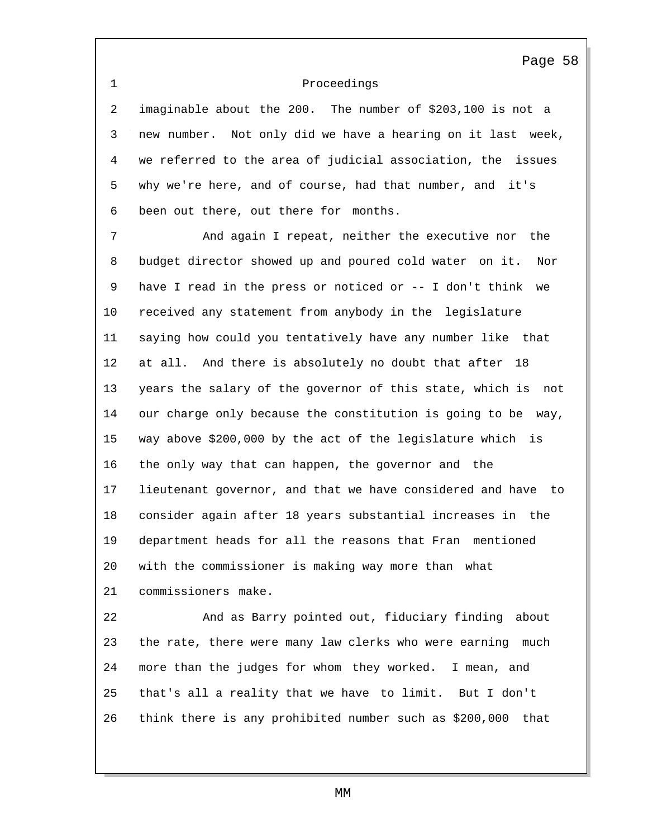## Proceedings

 imaginable about the 200. The number of \$203,100 is not a new number. Not only did we have a hearing on it last week, we referred to the area of judicial association, the issues why we're here, and of course, had that number, and it's been out there, out there for months.

 And again I repeat, neither the executive nor the budget director showed up and poured cold water on it. Nor have I read in the press or noticed or -- I don't think we received any statement from anybody in the legislature saying how could you tentatively have any number like that at all. And there is absolutely no doubt that after 18 years the salary of the governor of this state, which is not our charge only because the constitution is going to be way, way above \$200,000 by the act of the legislature which is the only way that can happen, the governor and the lieutenant governor, and that we have considered and have to consider again after 18 years substantial increases in the department heads for all the reasons that Fran mentioned with the commissioner is making way more than what commissioners make.

 And as Barry pointed out, fiduciary finding about the rate, there were many law clerks who were earning much more than the judges for whom they worked. I mean, and that's all a reality that we have to limit. But I don't think there is any prohibited number such as \$200,000 that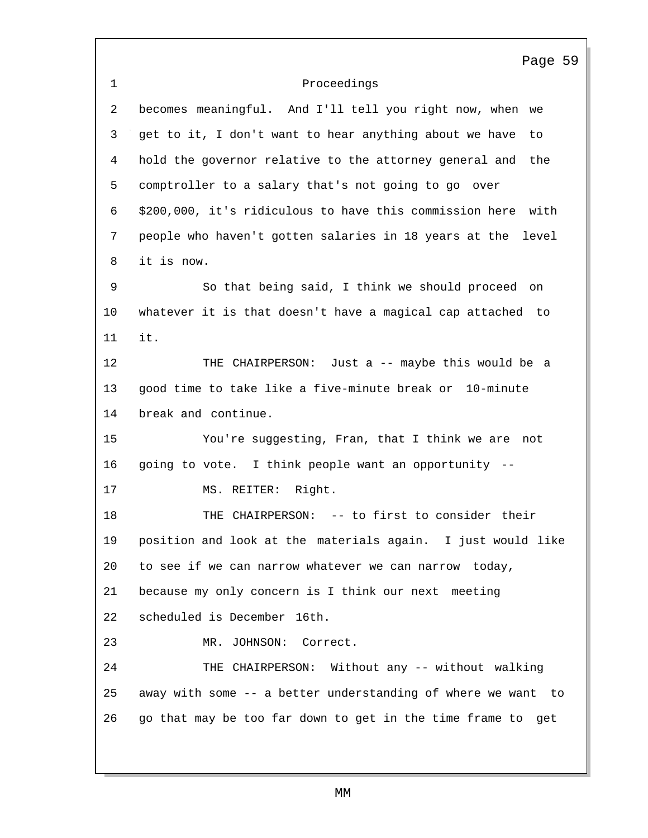Proceedings Page 59 becomes meaningful. And I'll tell you right now, when we get to it, I don't want to hear anything about we have to hold the governor relative to the attorney general and the comptroller to a salary that's not going to go over \$200,000, it's ridiculous to have this commission here with people who haven't gotten salaries in 18 years at the level it is now. So that being said, I think we should proceed on whatever it is that doesn't have a magical cap attached to it. THE CHAIRPERSON: Just a -- maybe this would be a good time to take like a five-minute break or 10-minute break and continue. You're suggesting, Fran, that I think we are not going to vote. I think people want an opportunity -- MS. REITER: Right. THE CHAIRPERSON: -- to first to consider their position and look at the materials again. I just would like to see if we can narrow whatever we can narrow today, because my only concern is I think our next meeting scheduled is December 16th. MR. JOHNSON: Correct. THE CHAIRPERSON: Without any -- without walking away with some -- a better understanding of where we want to go that may be too far down to get in the time frame to get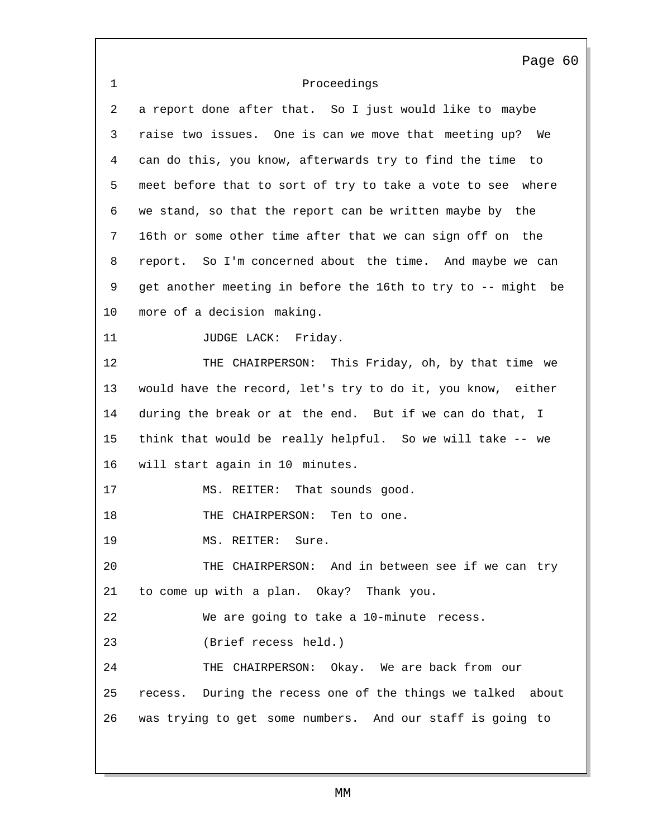Proceedings Page 60 a report done after that. So I just would like to maybe raise two issues. One is can we move that meeting up? We can do this, you know, afterwards try to find the time to meet before that to sort of try to take a vote to see where we stand, so that the report can be written maybe by the 16th or some other time after that we can sign off on the report. So I'm concerned about the time. And maybe we can get another meeting in before the 16th to try to -- might be more of a decision making. 11 JUDGE LACK: Friday. THE CHAIRPERSON: This Friday, oh, by that time we would have the record, let's try to do it, you know, either during the break or at the end. But if we can do that, I think that would be really helpful. So we will take -- we will start again in 10 minutes. 17 MS. REITER: That sounds good. 18 THE CHAIRPERSON: Ten to one. 19 MS. REITER: Sure. THE CHAIRPERSON: And in between see if we can try to come up with a plan. Okay? Thank you. We are going to take a 10-minute recess. (Brief recess held.) THE CHAIRPERSON: Okay. We are back from our recess. During the recess one of the things we talked about was trying to get some numbers. And our staff is going to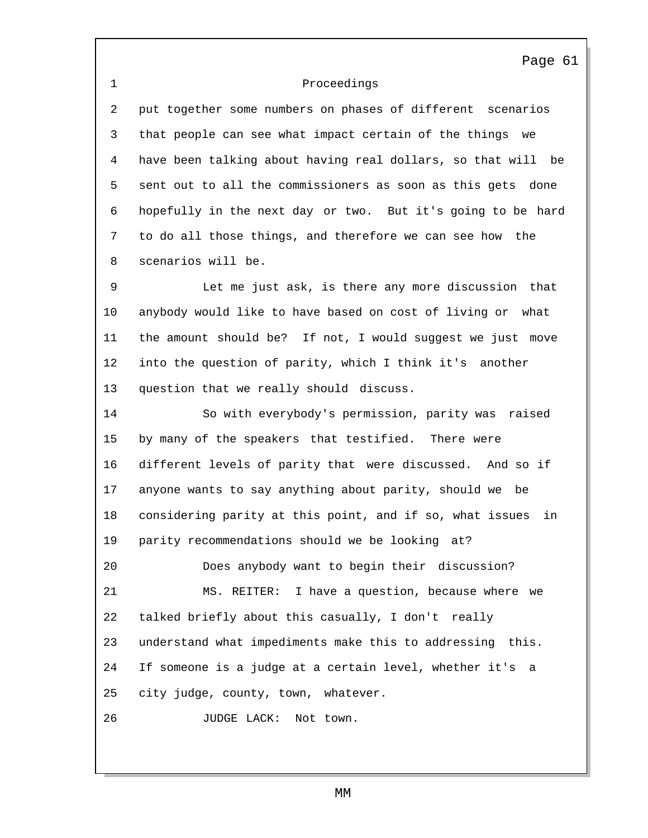## 1 Proceedings

2 put together some numbers on phases of different scenarios 3 that people can see what impact certain of the things we 4 have been talking about having real dollars, so that will be 5 sent out to all the commissioners as soon as this gets done 6 hopefully in the next day or two. But it's going to be hard 7 to do all those things, and therefore we can see how the 8 scenarios will be.

9 Let me just ask, is there any more discussion that 10 anybody would like to have based on cost of living or what 11 the amount should be? If not, I would suggest we just move 12 into the question of parity, which I think it's another 13 question that we really should discuss.

14 So with everybody's permission, parity was raised 15 by many of the speakers that testified. There were 16 different levels of parity that were discussed. And so if 17 anyone wants to say anything about parity, should we be 18 considering parity at this point, and if so, what issues in 19 parity recommendations should we be looking at? 20 Does anybody want to begin their discussion? 21 MS. REITER: I have a question, because where we 22 talked briefly about this casually, I don't really 23 understand what impediments make this to addressing this.

24 If someone is a judge at a certain level, whether it's a 25 city judge, county, town, whatever.

26 JUDGE LACK: Not town.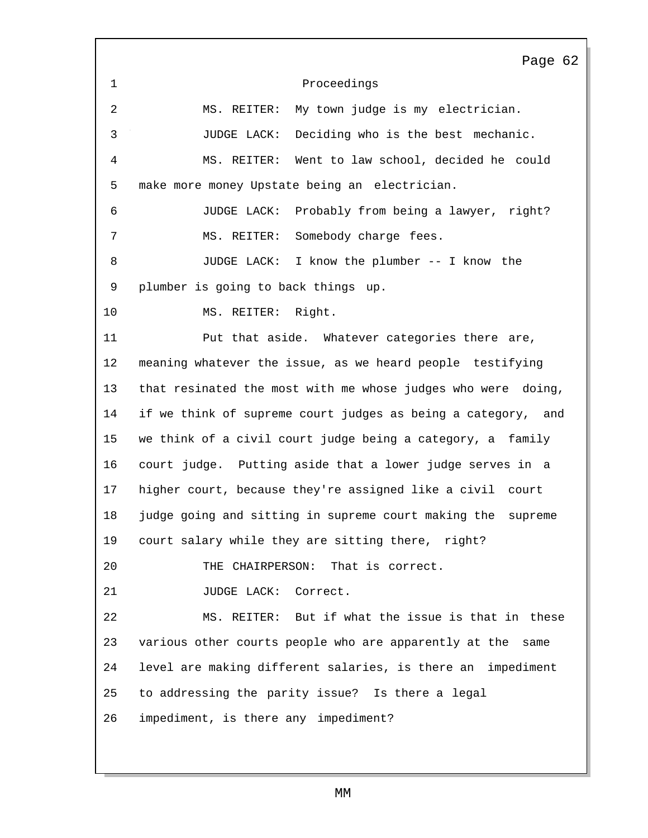1 Proceedings Page 62 2 MS. REITER: My town judge is my electrician. 3 JUDGE LACK: Deciding who is the best mechanic. 4 MS. REITER: Went to law school, decided he could 5 make more money Upstate being an electrician. 6 JUDGE LACK: Probably from being a lawyer, right? 7 MS. REITER: Somebody charge fees. 8 JUDGE LACK: I know the plumber -- I know the 9 plumber is going to back things up. 10 MS. REITER: Right. 11 Put that aside. Whatever categories there are, 12 meaning whatever the issue, as we heard people testifying 13 that resinated the most with me whose judges who were doing, 14 if we think of supreme court judges as being a category, and 15 we think of a civil court judge being a category, a family 16 court judge. Putting aside that a lower judge serves in a 17 higher court, because they're assigned like a civil court 18 judge going and sitting in supreme court making the supreme 19 court salary while they are sitting there, right? 20 THE CHAIRPERSON: That is correct. 21 JUDGE LACK: Correct. 22 MS. REITER: But if what the issue is that in these 23 various other courts people who are apparently at the same 24 level are making different salaries, is there an impediment 25 to addressing the parity issue? Is there a legal 26 impediment, is there any impediment?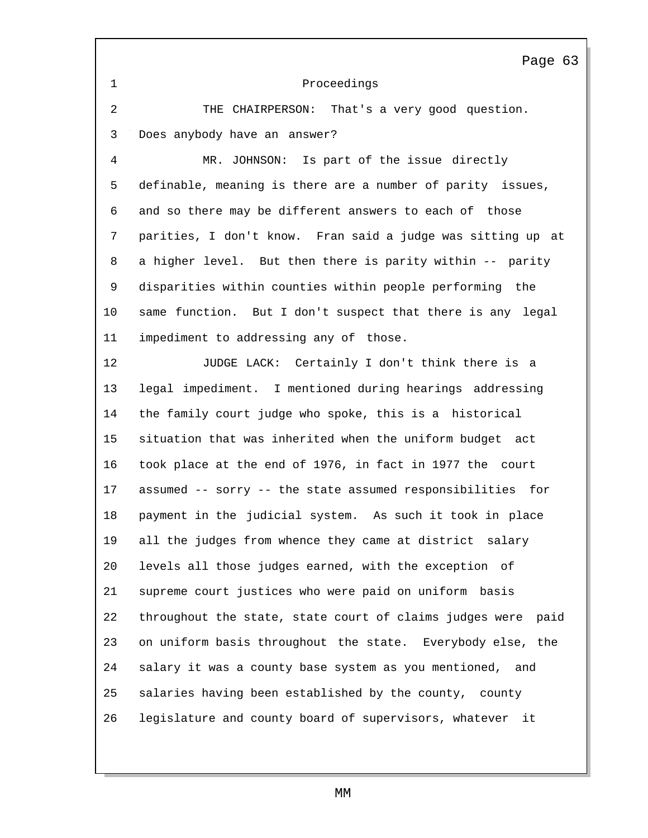1 Proceedings Page 63 2 THE CHAIRPERSON: That's a very good question. 3 Does anybody have an answer? 4 MR. JOHNSON: Is part of the issue directly 5 definable, meaning is there are a number of parity issues, 6 and so there may be different answers to each of those 7 parities, I don't know. Fran said a judge was sitting up at 8 a higher level. But then there is parity within -- parity 9 disparities within counties within people performing the 10 same function. But I don't suspect that there is any legal 11 impediment to addressing any of those. 12 JUDGE LACK: Certainly I don't think there is a 13 legal impediment. I mentioned during hearings addressing 14 the family court judge who spoke, this is a historical 15 situation that was inherited when the uniform budget act 16 took place at the end of 1976, in fact in 1977 the court 17 assumed -- sorry -- the state assumed responsibilities for 18 payment in the judicial system. As such it took in place 19 all the judges from whence they came at district salary 20 levels all those judges earned, with the exception of 21 supreme court justices who were paid on uniform basis 22 throughout the state, state court of claims judges were paid 23 on uniform basis throughout the state. Everybody else, the 24 salary it was a county base system as you mentioned, and 25 salaries having been established by the county, county 26 legislature and county board of supervisors, whatever it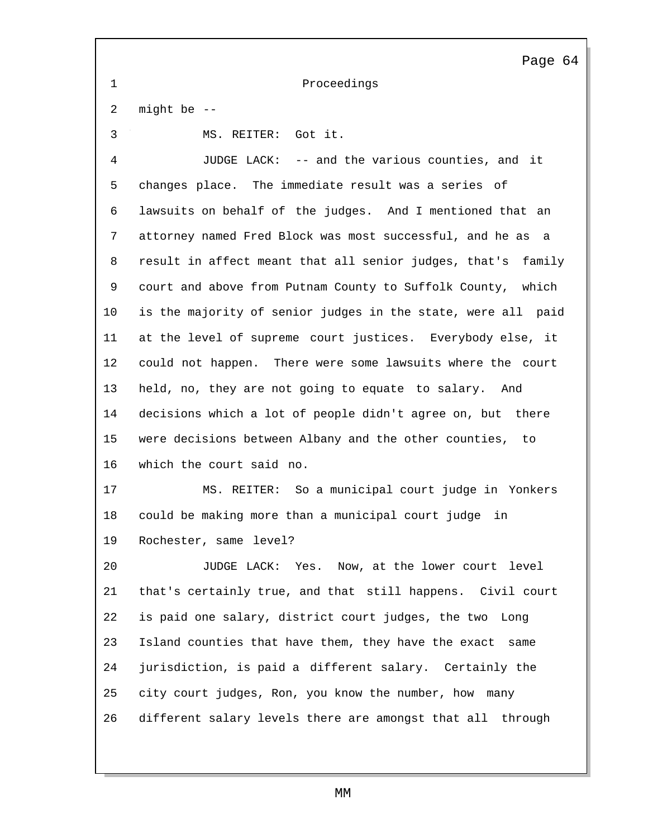1 Proceedings 2 might be -- 3 MS. REITER: Got it. 4 JUDGE LACK: -- and the various counties, and it 5 changes place. The immediate result was a series of 6 lawsuits on behalf of the judges. And I mentioned that an 7 attorney named Fred Block was most successful, and he as a 8 result in affect meant that all senior judges, that's family 9 court and above from Putnam County to Suffolk County, which 10 is the majority of senior judges in the state, were all paid 11 at the level of supreme court justices. Everybody else, it 12 could not happen. There were some lawsuits where the court 13 held, no, they are not going to equate to salary. And 14 decisions which a lot of people didn't agree on, but there 15 were decisions between Albany and the other counties, to 16 which the court said no. 17 MS. REITER: So a municipal court judge in Yonkers 18 could be making more than a municipal court judge in 19 Rochester, same level? 20 JUDGE LACK: Yes. Now, at the lower court level 21 that's certainly true, and that still happens. Civil court 22 is paid one salary, district court judges, the two Long 23 Island counties that have them, they have the exact same 24 jurisdiction, is paid a different salary. Certainly the 25 city court judges, Ron, you know the number, how many 26 different salary levels there are amongst that all through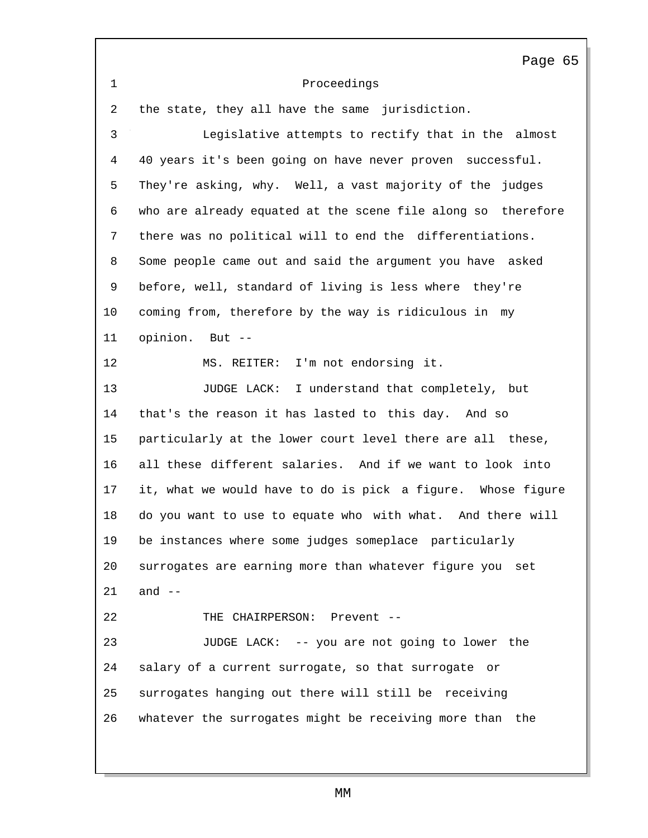|                   | Page 65                                                      |
|-------------------|--------------------------------------------------------------|
| $\mathbf 1$       | Proceedings                                                  |
| 2                 | the state, they all have the same jurisdiction.              |
| 3                 | Legislative attempts to rectify that in the almost           |
| $\overline{4}$    | 40 years it's been going on have never proven successful.    |
| 5                 | They're asking, why. Well, a vast majority of the judges     |
| 6                 | who are already equated at the scene file along so therefore |
| 7                 | there was no political will to end the differentiations.     |
| 8                 | Some people came out and said the argument you have asked    |
| 9                 | before, well, standard of living is less where they're       |
| 10                | coming from, therefore by the way is ridiculous in my        |
| 11                | opinion.<br>But $--$                                         |
| $12 \overline{ }$ | I'm not endorsing it.<br>MS. REITER:                         |
| 13                | JUDGE LACK: I understand that completely, but                |
| 14                | that's the reason it has lasted to this day. And so          |
| 15                | particularly at the lower court level there are all these,   |
| 16                | all these different salaries. And if we want to look into    |
| 17                | it, what we would have to do is pick a figure. Whose figure  |
| 18                | do you want to use to equate who with what. And there will   |
| 19                | be instances where some judges someplace particularly        |
| 20                | surrogates are earning more than whatever figure you set     |
| 21                | and $--$                                                     |
| 22                | THE CHAIRPERSON: Prevent --                                  |
| 23                | JUDGE LACK: -- you are not going to lower the                |
| 24                | salary of a current surrogate, so that surrogate or          |
| 25                | surrogates hanging out there will still be receiving         |
| 26                | whatever the surrogates might be receiving more than the     |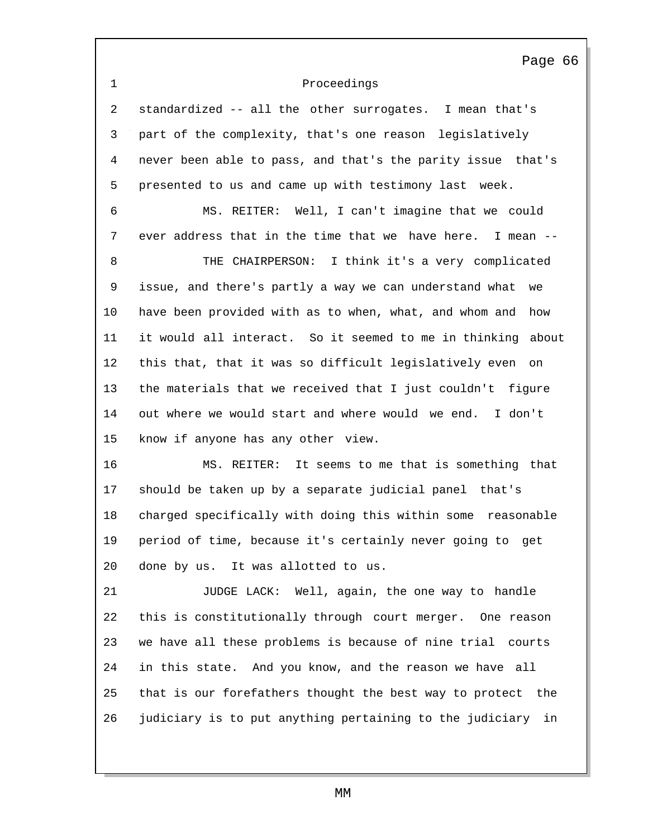## 1 Proceedings

2 standardized -- all the other surrogates. I mean that's 3 part of the complexity, that's one reason legislatively 4 never been able to pass, and that's the parity issue that's 5 presented to us and came up with testimony last week.

6 MS. REITER: Well, I can't imagine that we could 7 ever address that in the time that we have here. I mean -- 8 THE CHAIRPERSON: I think it's a very complicated 9 issue, and there's partly a way we can understand what we 10 have been provided with as to when, what, and whom and how 11 it would all interact. So it seemed to me in thinking about 12 this that, that it was so difficult legislatively even on 13 the materials that we received that I just couldn't figure 14 out where we would start and where would we end. I don't 15 know if anyone has any other view.

16 MS. REITER: It seems to me that is something that 17 should be taken up by a separate judicial panel that's 18 charged specifically with doing this within some reasonable 19 period of time, because it's certainly never going to get 20 done by us. It was allotted to us.

21 JUDGE LACK: Well, again, the one way to handle 22 this is constitutionally through court merger. One reason 23 we have all these problems is because of nine trial courts 24 in this state. And you know, and the reason we have all 25 that is our forefathers thought the best way to protect the 26 judiciary is to put anything pertaining to the judiciary in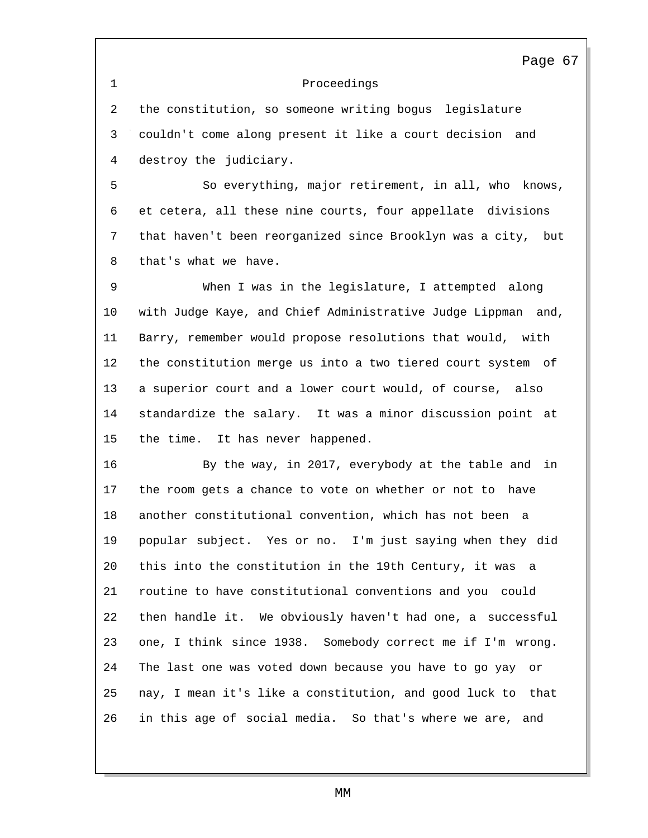1 Proceedings Page 67 2 the constitution, so someone writing bogus legislature 3 couldn't come along present it like a court decision and 4 destroy the judiciary. 5 So everything, major retirement, in all, who knows, 6 et cetera, all these nine courts, four appellate divisions 7 that haven't been reorganized since Brooklyn was a city, but 8 that's what we have. 9 When I was in the legislature, I attempted along 10 with Judge Kaye, and Chief Administrative Judge Lippman and, 11 Barry, remember would propose resolutions that would, with 12 the constitution merge us into a two tiered court system of 13 a superior court and a lower court would, of course, also 14 standardize the salary. It was a minor discussion point at 15 the time. It has never happened. 16 By the way, in 2017, everybody at the table and in 17 the room gets a chance to vote on whether or not to have 18 another constitutional convention, which has not been a 19 popular subject. Yes or no. I'm just saying when they did 20 this into the constitution in the 19th Century, it was a 21 routine to have constitutional conventions and you could 22 then handle it. We obviously haven't had one, a successful 23 one, I think since 1938. Somebody correct me if I'm wrong. 24 The last one was voted down because you have to go yay or 25 nay, I mean it's like a constitution, and good luck to that 26 in this age of social media. So that's where we are, and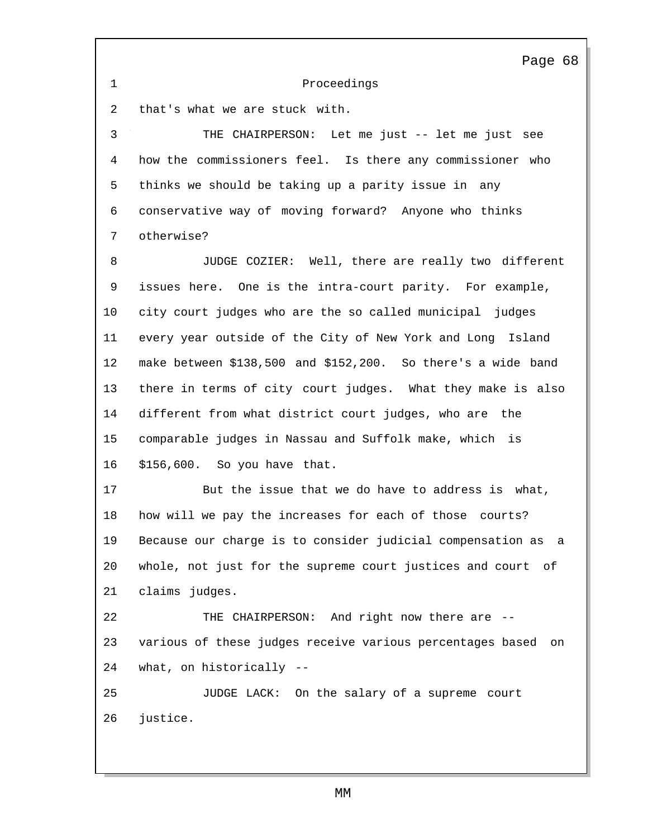1 Proceedings 2 that's what we are stuck with. Page 68 3 THE CHAIRPERSON: Let me just -- let me just see 4 how the commissioners feel. Is there any commissioner who 5 thinks we should be taking up a parity issue in any 6 conservative way of moving forward? Anyone who thinks 7 otherwise? 8 JUDGE COZIER: Well, there are really two different 9 issues here. One is the intra-court parity. For example, 10 city court judges who are the so called municipal judges 11 every year outside of the City of New York and Long Island 12 make between \$138,500 and \$152,200. So there's a wide band 13 there in terms of city court judges. What they make is also 14 different from what district court judges, who are the 15 comparable judges in Nassau and Suffolk make, which is 16 \$156,600. So you have that. 17 But the issue that we do have to address is what, 18 how will we pay the increases for each of those courts? 19 Because our charge is to consider judicial compensation as a 20 whole, not just for the supreme court justices and court of 21 claims judges. 22 THE CHAIRPERSON: And right now there are -- 23 various of these judges receive various percentages based on 24 what, on historically -- 25 JUDGE LACK: On the salary of a supreme court 26 justice.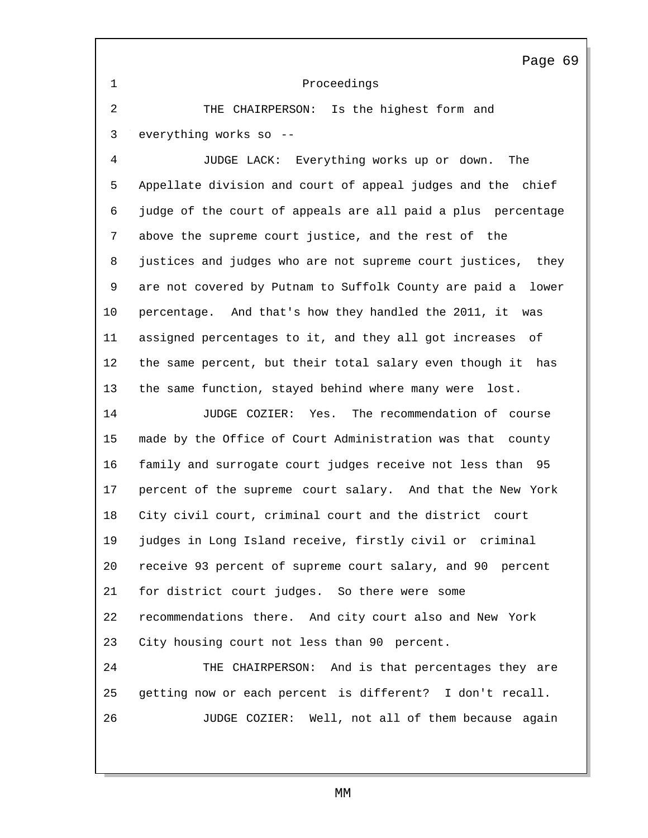1 Proceedings

2 THE CHAIRPERSON: Is the highest form and 3 everything works so --

4 JUDGE LACK: Everything works up or down. The Appellate division and court of appeal judges and the chief judge of the court of appeals are all paid a plus percentage above the supreme court justice, and the rest of the justices and judges who are not supreme court justices, they are not covered by Putnam to Suffolk County are paid a lower percentage. And that's how they handled the 2011, it was assigned percentages to it, and they all got increases of the same percent, but their total salary even though it has the same function, stayed behind where many were lost.

 JUDGE COZIER: Yes. The recommendation of course made by the Office of Court Administration was that county family and surrogate court judges receive not less than 95 percent of the supreme court salary. And that the New York City civil court, criminal court and the district court judges in Long Island receive, firstly civil or criminal receive 93 percent of supreme court salary, and 90 percent for district court judges. So there were some recommendations there. And city court also and New York City housing court not less than 90 percent.

 THE CHAIRPERSON: And is that percentages they are getting now or each percent is different? I don't recall. JUDGE COZIER: Well, not all of them because again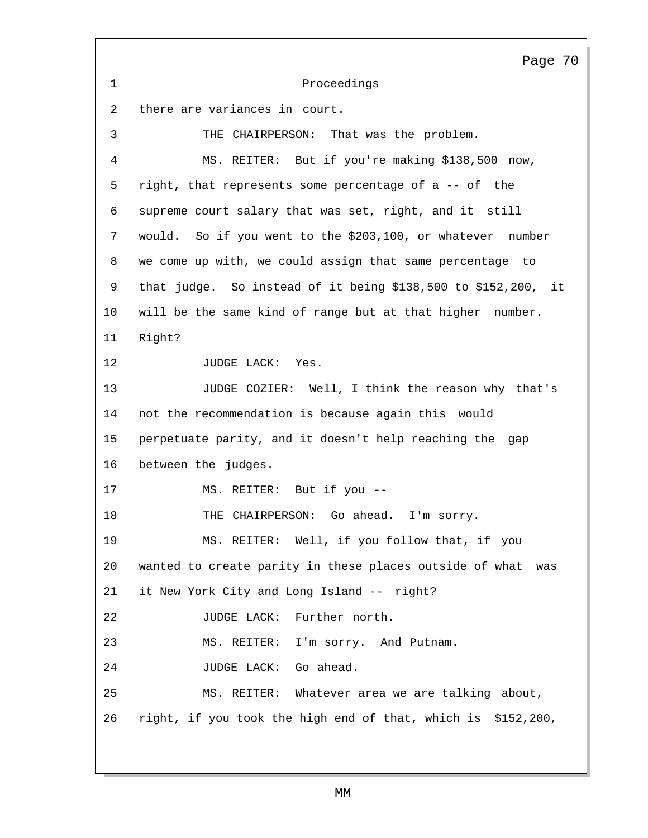Proceedings there are variances in court. THE CHAIRPERSON: That was the problem. Page 70 MS. REITER: But if you're making \$138,500 now, right, that represents some percentage of a -- of the supreme court salary that was set, right, and it still would. So if you went to the \$203,100, or whatever number we come up with, we could assign that same percentage to that judge. So instead of it being \$138,500 to \$152,200, it will be the same kind of range but at that higher number. Right? 12 JUDGE LACK: Yes. JUDGE COZIER: Well, I think the reason why that's not the recommendation is because again this would perpetuate parity, and it doesn't help reaching the gap between the judges. MS. REITER: But if you -- 18 THE CHAIRPERSON: Go ahead. I'm sorry. MS. REITER: Well, if you follow that, if you wanted to create parity in these places outside of what was it New York City and Long Island -- right? JUDGE LACK: Further north. MS. REITER: I'm sorry. And Putnam. JUDGE LACK: Go ahead. MS. REITER: Whatever area we are talking about, right, if you took the high end of that, which is \$152,200,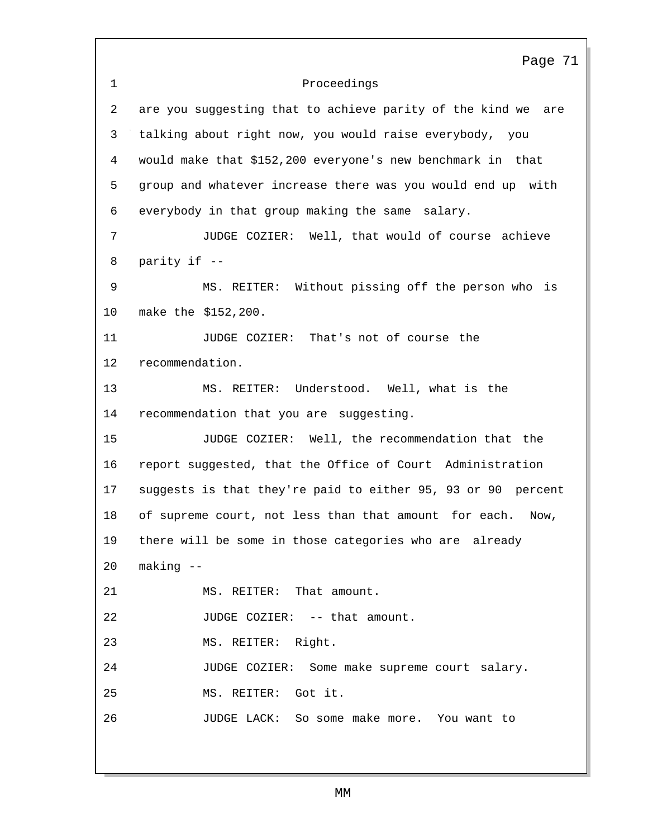|              | Page 71                                                         |
|--------------|-----------------------------------------------------------------|
| $\mathbf{1}$ | Proceedings                                                     |
| 2            | are you suggesting that to achieve parity of the kind we<br>are |
| 3            | talking about right now, you would raise everybody, you         |
| 4            | would make that \$152,200 everyone's new benchmark in that      |
| 5            | group and whatever increase there was you would end up with     |
| 6            | everybody in that group making the same salary.                 |
| 7            | JUDGE COZIER: Well, that would of course achieve                |
| 8            | parity if --                                                    |
| 9            | MS. REITER: Without pissing off the person who<br>is            |
| 10           | make the \$152,200.                                             |
| 11           | JUDGE COZIER: That's not of course the                          |
| $12 \,$      | recommendation.                                                 |
| 13           | MS. REITER: Understood. Well, what is the                       |
| 14           | recommendation that you are suggesting.                         |
| 15           | JUDGE COZIER: Well, the recommendation that the                 |
| 16           | report suggested, that the Office of Court Administration       |
| 17           | suggests is that they're paid to either 95, 93 or 90 percent    |
| 18           | of supreme court, not less than that amount for each.<br>Now,   |
| 19           | there will be some in those categories who are already          |
| 20           | $making - -$                                                    |
| 21           | MS. REITER: That amount.                                        |
| 22           | JUDGE COZIER: -- that amount.                                   |
| 23           | MS. REITER: Right.                                              |
| 24           | JUDGE COZIER: Some make supreme court salary.                   |
| 25           | MS. REITER: Got it.                                             |
| 26           | JUDGE LACK: So some make more. You want to                      |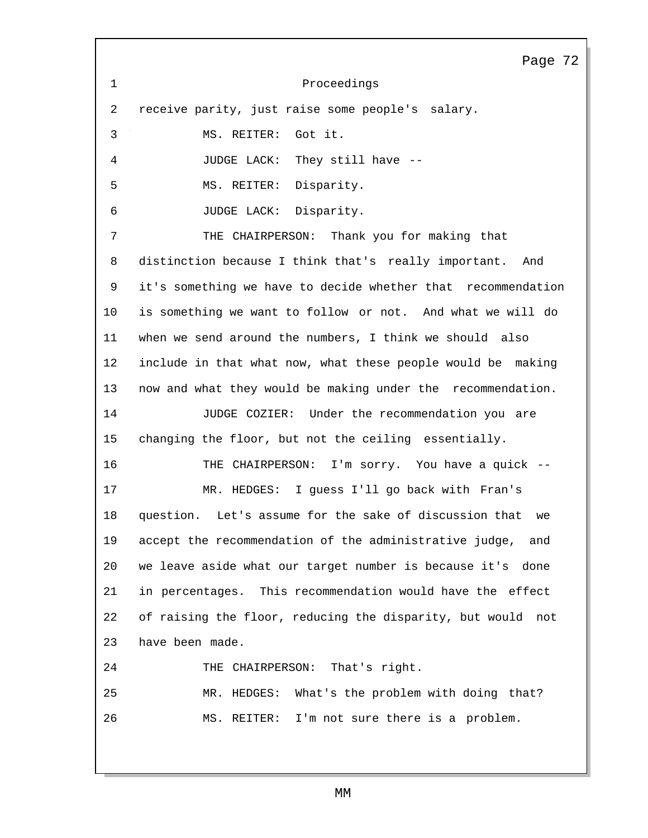Proceedings receive parity, just raise some people's salary. MS. REITER: Got it. JUDGE LACK: They still have -- MS. REITER: Disparity. JUDGE LACK: Disparity. THE CHAIRPERSON: Thank you for making that Page 72 distinction because I think that's really important. And it's something we have to decide whether that recommendation is something we want to follow or not. And what we will do when we send around the numbers, I think we should also include in that what now, what these people would be making now and what they would be making under the recommendation. JUDGE COZIER: Under the recommendation you are changing the floor, but not the ceiling essentially. THE CHAIRPERSON: I'm sorry. You have a quick -- MR. HEDGES: I guess I'll go back with Fran's question. Let's assume for the sake of discussion that we accept the recommendation of the administrative judge, and we leave aside what our target number is because it's done in percentages. This recommendation would have the effect of raising the floor, reducing the disparity, but would not have been made. THE CHAIRPERSON: That's right. MR. HEDGES: What's the problem with doing that? MS. REITER: I'm not sure there is a problem.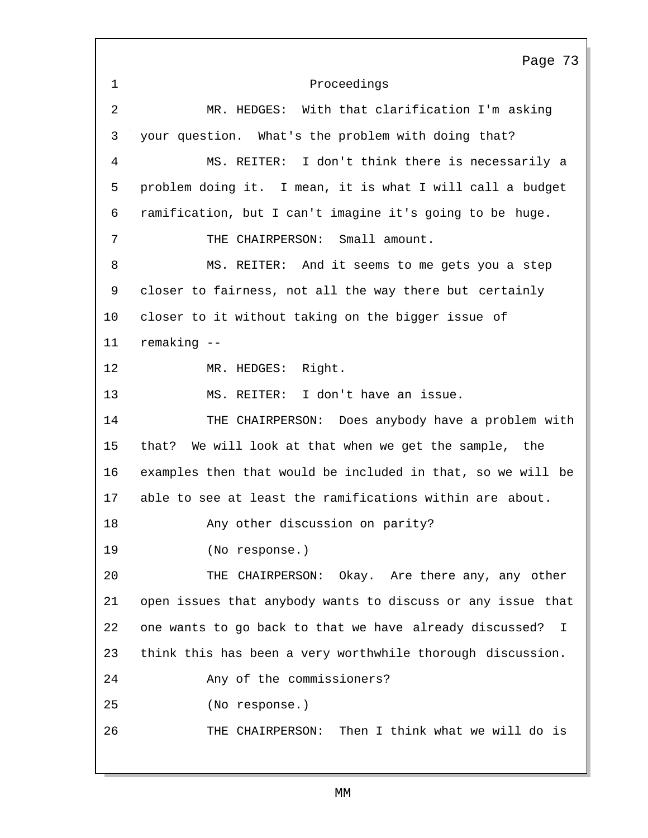Proceedings Page 73 MR. HEDGES: With that clarification I'm asking your question. What's the problem with doing that? MS. REITER: I don't think there is necessarily a problem doing it. I mean, it is what I will call a budget ramification, but I can't imagine it's going to be huge. THE CHAIRPERSON: Small amount. MS. REITER: And it seems to me gets you a step closer to fairness, not all the way there but certainly closer to it without taking on the bigger issue of remaking -- MR. HEDGES: Right. MS. REITER: I don't have an issue. THE CHAIRPERSON: Does anybody have a problem with that? We will look at that when we get the sample, the examples then that would be included in that, so we will be able to see at least the ramifications within are about. Any other discussion on parity? (No response.) THE CHAIRPERSON: Okay. Are there any, any other open issues that anybody wants to discuss or any issue that one wants to go back to that we have already discussed? I think this has been a very worthwhile thorough discussion. Any of the commissioners? (No response.) THE CHAIRPERSON: Then I think what we will do is

MM